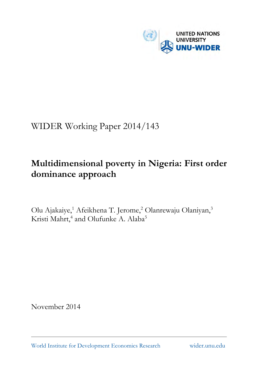

# WIDER Working Paper 2014/143

# **Multidimensional poverty in Nigeria: First order dominance approach**

Olu Ajakaiye,<sup>1</sup> Afeikhena T. Jerome,<sup>2</sup> Olanrewaju Olaniyan,<sup>3</sup> Kristi Mahrt,<sup>4</sup> and Olufunke A. Alaba<sup>5</sup>

November 2014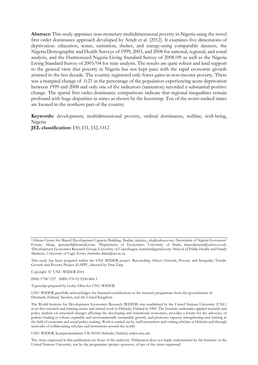**Abstract:** This study appraises non-monetary multidimensional poverty in Nigeria using the novel first order dominance approach developed by Arndt et al. (2012). It examines five dimensions of deprivation: education, water, sanitation, shelter, and energy-using comparable datasets, the Nigeria Demographic and Health Surveys of 1999, 2003, and 2008 for national, regional, and zonal analysis, and the Harmonized Nigeria Living Standard Survey of 2008/09 as well as the Nigeria Living Standard Survey of 2003/04 for state analysis. The results are quite robust and lend support to the general view that poverty in Nigeria has not kept pace with the rapid economic growth attained in the last decade. The country registered only fewer gains in non-income poverty. There was a marginal change of -0.21 in the percentage of the population experiencing acute deprivation between 1999 and 2008 and only one of the indicators (sanitation) recorded a substantial positive change. The spatial first order dominance comparisons indicate that regional inequalities remain profound with huge disparities in states as shown by the bootstrap. Ten of the worst-ranked states are located in the northern part of the country.

**Keywords:** development, multidimensional poverty, ordinal dominance, welfare, well-being, Nigeria **JEL classification:** I30, I31, I32, O12

This study has been prepared within the UNU-WIDER project 'Reconciling Africa's Growth, Poverty and Inequality Trends: Growth and Poverty Project (GAPP)', directed by Finn Tarp.

Copyright © UNU-WIDER 2014

ISSN 1798-7237 ISBN 978-92-9230-864-3

Typescript prepared by Lesley Ellen for UNU-WIDER.

UNU-WIDER gratefully acknowledges the financial contributions to the research programme from the governments of Denmark, Finland, Sweden, and the United Kingdom.

The World Institute for Development Economics Research (WIDER) was established by the United Nations University (UNU) as its first research and training centre and started work in Helsinki, Finland in 1985. The Institute undertakes applied research and policy analysis on structural changes affecting the developing and transitional economies, provides a forum for the advocacy of policies leading to robust, equitable and environmentally sustainable growth, and promotes capacity strengthening and training in the field of economic and social policy-making. Work is carried out by staff researchers and visiting scholars in Helsinki and through networks of collaborating scholars and institutions around the world.

UNU-WIDER, Katajanokanlaituri 6 B, 00160 Helsinki, Finland, wider.unu.edu

The views expressed in this publication are those of the author(s). Publication does not imply endorsement by the Institute or the United Nations University, nor by the programme/project sponsors, of any of the views expressed.

<sup>1</sup>African Centre for Shared Development Capacity Building, Ibadan, ajakaiye\_olu@yahoo.com; 2Secretariat of Nigeria Governors' Forum, Abuja, ajerome4@hotmail.com; <sup>3</sup>Department of Economics, University of Ibada, lanreolaniyan@yahoo.co.uk; 4Development Economics Research Group, University of Copenhagen, kamahrt@gmail.com; 5School of Public Health a Medicine, University of Cape Town, olufunke.alaba@uct.ac.za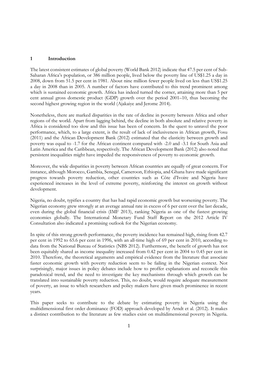#### **1 Introduction**

The latest consistent estimates of global poverty (World Bank 2012) indicate that 47.5 per cent of Sub-Saharan Africa's population, or 386 million people, lived below the poverty line of US\$1.25 a day in 2008, down from 51.5 per cent in 1981. About nine million fewer people lived on less than US\$1.25 a day in 2008 than in 2005. A number of factors have contributed to this trend prominent among which is sustained economic growth. Africa has indeed turned the corner, attaining more than 5 per cent annual gross domestic product (GDP) growth over the period 2001–10, thus becoming the second highest growing region in the world (Ajakaiye and Jerome 2014).

Nonetheless, there are marked disparities in the rate of decline in poverty between Africa and other regions of the world. Apart from lagging behind, the decline in both absolute and relative poverty in Africa is considered too slow and this issue has been of concern. In the quest to unravel the poor performance, which, to a large extent, is the result of lack of inclusiveness in African growth, Fosu (2011) and the African Development Bank (2012) estimated that the elasticity between growth and poverty was equal to -1.7 for the African continent compared with -2.0 and -3.1 for South Asia and Latin America and the Caribbean, respectively. The African Development Bank (2012) also noted that persistent inequalities might have impeded the responsiveness of poverty to economic growth.

Moreover, the wide disparities in poverty between African countries are equally of great concern. For instance, although Morocco, Gambia, Senegal, Cameroon, Ethiopia, and Ghana have made significant progress towards poverty reduction, other countries such as Côte d'Ivoire and Nigeria have experienced increases in the level of extreme poverty, reinforcing the interest on growth without development.

Nigeria, no doubt, typifies a country that has had rapid economic growth but worsening poverty. The Nigerian economy grew strongly at an average annual rate in excess of 6 per cent over the last decade, even during the global financial crisis (IMF 2013), ranking Nigeria as one of the fastest growing economies globally. The International Monetary Fund Staff Report on the 2012 Article IV Consultation also indicated a promising outlook for the Nigerian economy.

In spite of this strong growth performance, the poverty incidence has remained high, rising from 42.7 per cent in 1992 to 65.6 per cent in 1996, with an all-time high of 69 per cent in 2010, according to data from the National Bureau of Statistics (NBS 2012). Furthermore, the benefit of growth has not been equitably shared as income inequality increased from 0.42 per cent in 2004 to 0.45 per cent in 2010. Therefore, the theoretical arguments and empirical evidence from the literature that associate faster economic growth with poverty reduction seem to be failing in the Nigerian context. Not surprisingly, major issues in policy debates include how to proffer explanations and reconcile this paradoxical trend, and the need to investigate the key mechanisms through which growth can be translated into sustainable poverty reduction. This, no doubt, would require adequate measurement of poverty, an issue to which researchers and policy makers have given much prominence in recent years.

This paper seeks to contribute to the debate by estimating poverty in Nigeria using the multidimensional first order dominance (FOD) approach developed by Arndt et al. (2012). It makes a distinct contribution to the literature as few studies exist on multidimensional poverty in Nigeria.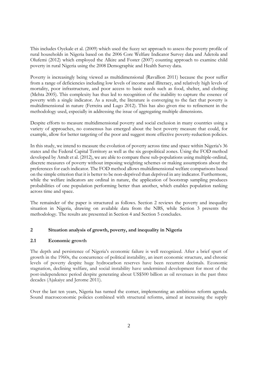This includes Oyekale et al. (2009) which used the fuzzy set approach to assess the poverty profile of rural households in Nigeria based on the 2006 Core Welfare Indicator Survey data and Adetola and Olufemi (2012) which employed the Alkire and Foster (2007) counting approach to examine child poverty in rural Nigeria using the 2008 Demographic and Health Survey data.

Poverty is increasingly being viewed as multidimensional (Ravallion 2011) because the poor suffer from a range of deficiencies including low levels of income and illiteracy, and relatively high levels of mortality, poor infrastructure, and poor access to basic needs such as food, shelter, and clothing (Mehta 2005). This complexity has thus led to recognition of the inability to capture the essence of poverty with a single indicator. As a result, the literature is converging to the fact that poverty is multidimensional in nature (Ferreira and Lugo 2012). This has also given rise to refinement in the methodology used, especially in addressing the issue of aggregating multiple dimensions.

Despite efforts to measure multidimensional poverty and social exclusion in many countries using a variety of approaches, no consensus has emerged about the best poverty measure that could, for example, allow for better targeting of the poor and suggest more effective poverty-reduction policies.

In this study, we intend to measure the evolution of poverty across time and space within Nigeria's 36 states and the Federal Capital Territory as well as the six geopolitical zones. Using the FOD method developed by Arndt et al. (2012), we are able to compare these sub-populations using multiple-ordinal, discrete measures of poverty without imposing weighting schemes or making assumptions about the preferences for each indicator. The FOD method allows multidimensional welfare comparisons based on the simple criterion that it is better to be non-deprived than deprived in any indicator. Furthermore, while the welfare indicators are ordinal in nature, the application of bootstrap sampling produces probabilities of one population performing better than another, which enables population ranking across time and space.

The remainder of the paper is structured as follows. Section 2 reviews the poverty and inequality situation in Nigeria, drawing on available data from the NBS, while Section 3 presents the methodology. The results are presented in Section 4 and Section 5 concludes.

# **2 Situation analysis of growth, poverty, and inequality in Nigeria**

# **2.1 Economic growth**

The depth and persistence of Nigeria's economic failure is well recognized. After a brief spurt of growth in the 1960s, the concurrence of political instability, an inert economic structure, and chronic levels of poverty despite huge hydrocarbon reserves have been recurrent decimals. Economic stagnation, declining welfare, and social instability have undermined development for most of the post-independence period despite generating about US\$500 billion as oil revenues in the past three decades (Ajakaiye and Jerome 2011).

Over the last ten years, Nigeria has turned the corner, implementing an ambitious reform agenda. Sound macroeconomic policies combined with structural reforms, aimed at increasing the supply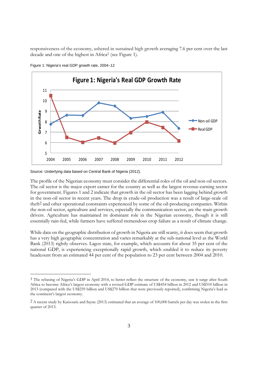responsiveness of the economy, ushered in sustained high growth averaging 7.6 per cent over the last decade and one of the highest in Africa1 (see Figure 1).



Figure 1: Nigeria's real GDP growth rate, 2004–12

Source: Underlying data based on Central Bank of Nigeria (2012).

-

The profile of the Nigerian economy must consider the differential roles of the oil and non-oil sectors. The oil sector is the major export earner for the country as well as the largest revenue-earning sector for government. Figures 1 and 2 indicate that growth in the oil sector has been lagging behind growth in the non-oil sector in recent years. The drop in crude-oil production was a result of large-scale oil theft2 and other operational constraints experienced by some of the oil-producing companies. Within the non-oil sector, agriculture and services, especially the communication sector, are the main growth drivers. Agriculture has maintained its dominant role in the Nigerian economy, though it is still essentially rain-fed, while farmers have suffered tremendous crop failure as a result of climate change.

While data on the geographic distribution of growth in Nigeria are still scanty, it does seem that growth has a very high geographic concentration and varies remarkably at the sub-national level as the World Bank (2013) rightly observes. Lagos state, for example, which accounts for about 35 per cent of the national GDP, is experiencing exceptionally rapid growth, which enabled it to reduce its poverty headcount from an estimated 44 per cent of the population to 23 per cent between 2004 and 2010.

<sup>1</sup> The rebasing of Nigeria's GDP in April 2014, to better reflect the structure of the economy, saw it surge after South Africa to become Africa's largest economy with a revised GDP estimate of US\$454 billion in 2012 and US\$510 billion in 2013 (compared with the US\$259 billion and US\$270 billion that were previously reported), confirming Nigeria's lead as the continent's largest economy.

<sup>2</sup> A recent study by Katsouris and Sayne (2013) estimated that an average of 100,000 barrels per day was stolen in the first quarter of 2013.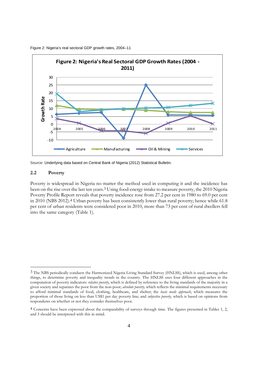

Figure 2: Nigeria's real sectoral GDP growth rates, 2004–11

#### **2.2 Poverty**

-

Poverty is widespread in Nigeria no matter the method used in computing it and the incidence has been on the rise over the last ten years.3 Using food-energy intake to measure poverty, the 2010 Nigeria Poverty Profile Report reveals that poverty incidence rose from 27.2 per cent in 1980 to 69.0 per cent in 2010 (NBS 2012).4 Urban poverty has been consistently lower than rural poverty; hence while 61.8 per cent of urban residents were considered poor in 2010, more than 73 per cent of rural dwellers fell into the same category (Table 1).

Source: Underlying data based on Central Bank of Nigeria (2012) Statistical Bulletin.

<sup>3</sup> The NBS periodically conducts the Harmonized Nigeria Living Standard Survey (HNLSS), which is used, among other things, to determine poverty and inequality trends in the country. The HNLSS uses four different approaches in the computation of poverty indicators: *relative poverty*, which is defined by reference to the living standards of the majority in a given society and separates the poor from the non-poor; *absolute poverty,* which reflects the minimal requirements necessary to afford minimal standards of food, clothing, healthcare, and shelter; the *basic needs approach*, which measures the proportion of those living on less than US\$1 per day poverty line; and *subjective poverty,* which is based on opinions from respondents on whether or not they consider themselves poor.

<sup>4</sup> Concerns have been expressed about the comparability of surveys through time. The figures presented in Tables 1, 2, and 3 should be interpreted with this in mind.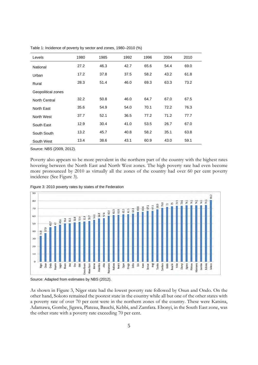| Levels               | 1980 | 1985 | 1992 | 1996 | 2004 | 2010 |
|----------------------|------|------|------|------|------|------|
| National             | 27.2 | 46.3 | 42.7 | 65.6 | 54.4 | 69.0 |
| Urban                | 17.2 | 37.8 | 37.5 | 58.2 | 43.2 | 61.8 |
| Rural                | 28.3 | 51.4 | 46.0 | 69.3 | 63.3 | 73.2 |
| Geopolitical zones   |      |      |      |      |      |      |
| <b>North Central</b> | 32.2 | 50.8 | 46.0 | 64.7 | 67.0 | 67.5 |
| North East           | 35.6 | 54.9 | 54.0 | 70.1 | 72.2 | 76.3 |
| North West           | 37.7 | 52.1 | 36.5 | 77.2 | 71.2 | 77.7 |
| South East           | 12.9 | 30.4 | 41.0 | 53.5 | 26.7 | 67.0 |
| South South          | 13.2 | 45.7 | 40.8 | 58.2 | 35.1 | 63.8 |
| South West           | 13.4 | 38.6 | 43.1 | 60.9 | 43.0 | 59.1 |

Table 1: Incidence of poverty by sector and zones, 1980–2010 (%)

Source: NBS (2009, 2012).

Poverty also appears to be more prevalent in the northern part of the country with the highest rates hovering between the North East and North West zones. The high poverty rate had even become more pronounced by 2010 as virtually all the zones of the country had over 60 per cent poverty incidence (See Figure 3).



Figure 3: 2010 poverty rates by states of the Federation

As shown in Figure 3, Niger state had the lowest poverty rate followed by Osun and Ondo. On the other hand, Sokoto remained the poorest state in the country while all but one of the other states with a poverty rate of over 70 per cent were in the northern zones of the country. These were Katsina, Adamawa, Gombe, Jigawa, Plateau, Bauchi, Kebbi, and Zamfara. Ebonyi, in the South East zone, was the other state with a poverty rate exceeding 70 per cent.

Source: Adapted from estimates by NBS (2012).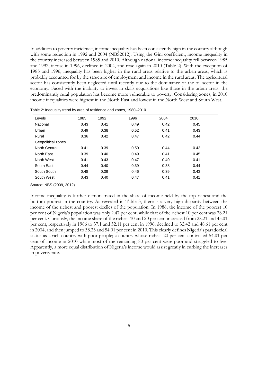In addition to poverty incidence, income inequality has been consistently high in the country although with some reduction in 1992 and 2004 (NBS2012). Using the Gini coefficient, income inequality in the country increased between 1985 and 2010. Although national income inequality fell between 1985 and 1992, it rose in 1996, declined in 2004, and rose again in 2010 (Table 2). With the exception of 1985 and 1996, inequality has been higher in the rural areas relative to the urban areas, which is probably accounted for by the structure of employment and income in the rural areas. The agricultural sector has consistently been neglected until recently due to the dominance of the oil sector in the economy. Faced with the inability to invest in skills acquisitions like those in the urban areas, the predominantly rural population has become more vulnerable to poverty. Considering zones, in 2010 income inequalities were highest in the North East and lowest in the North West and South West.

| Levels               | 1985 | 1992 | 1996 | 2004 | 2010 |
|----------------------|------|------|------|------|------|
| National             | 0.43 | 0.41 | 0.49 | 0.42 | 0.45 |
| Urban                | 0.49 | 0.38 | 0.52 | 0.41 | 0.43 |
| Rural                | 0.36 | 0.42 | 0.47 | 0.42 | 0.44 |
| Geopolitical zones   |      |      |      |      |      |
| <b>North Central</b> | 0.41 | 0.39 | 0.50 | 0.44 | 0.42 |
| North East           | 0.39 | 0.40 | 0.49 | 0.41 | 0.45 |
| North West           | 0.41 | 0.43 | 0.47 | 0.40 | 0.41 |
| South East           | 0.44 | 0.40 | 0.39 | 0.38 | 0.44 |
| South South          | 0.48 | 0.39 | 0.46 | 0.39 | 0.43 |
| South West           | 0.43 | 0.40 | 0.47 | 0.41 | 0.41 |

Table 2: Inequality trend by area of residence and zones, 1980–2010

Source: NBS (2009, 2012).

Income inequality is further demonstrated in the share of income held by the top richest and the bottom poorest in the country. As revealed in Table 3, there is a very high disparity between the income of the richest and poorest deciles of the population. In 1986, the income of the poorest 10 per cent of Nigeria's population was only 2.47 per cent, while that of the richest 10 per cent was 28.21 per cent. Curiously, the income share of the richest 10 and 20 per cent increased from 28.21 and 45.01 per cent, respectively in 1986 to 37.1 and 52.11 per cent in 1996, declined to 32.42 and 48.61 per cent in 2004, and then jumped to 38.23 and 54.01 per cent in 2010. This clearly defines Nigeria's paradoxical status as a rich country with poor people; a country whose richest 20 per cent controlled 54.01 per cent of income in 2010 while most of the remaining 80 per cent were poor and struggled to live. Apparently, a more equal distribution of Nigeria's income would assist greatly in curbing the increases in poverty rate.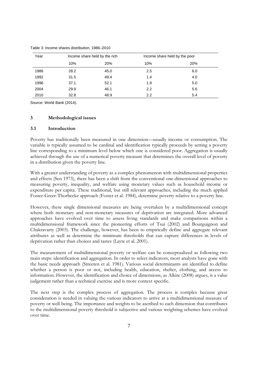| Year |      | Income share held by the rich | Income share held by the poor |     |
|------|------|-------------------------------|-------------------------------|-----|
|      | 10%  | 20%                           | 10%                           | 20% |
| 1986 | 28.2 | 45.0                          | 2.5                           | 6.0 |
| 1992 | 31.5 | 49.4                          | 1.4                           | 4.0 |
| 1996 | 37.1 | 52.1                          | 1.9                           | 5.0 |
| 2004 | 29.9 | 46.1                          | 2.2                           | 5.6 |
| 2010 | 32.8 | 48.9                          | 2.2                           | 5.4 |

Table 3: Income shares distribution, 1986–2010

Source: World Bank (2014).

# **3 Methodological issues**

#### **3.1 Introduction**

Poverty has traditionally been measured in one dimension—usually income or consumption. The variable is typically assumed to be cardinal and identification typically proceeds by setting a poverty line corresponding to a minimum level below which one is considered poor. Aggregation is usually achieved through the use of a numerical poverty measure that determines the overall level of poverty in a distribution given the poverty line.

With a greater understanding of poverty as a complex phenomenon with multidimensional properties and effects (Sen 1973), there has been a shift from the conventional one-dimensional approaches to measuring poverty, inequality, and welfare using monetary values such as household income or expenditure per capita. These traditional, but still relevant approaches, including the much applied Foster-Greer-Thorbecke approach (Foster et al. 1984), determine poverty relative to a poverty line.

However, these single dimensional measures are being overtaken by a multidimensional concept where both monetary and non-monetary measures of deprivation are integrated. More advanced approaches have evolved over time to assess living standards and make comparisons within a multidimensional framework since the pioneering efforts of Tsui (2002) and Bourguignon and Chakravarty (2003). The challenge, however, has been to empirically define and aggregate relevant attributes as well as determine the minimum thresholds that can capture differences in levels of deprivation rather than choices and tastes (Layte et al. 2001).

The measurement of multidimensional poverty or welfare can be conceptualized as following two main steps: identification and aggregation. In order to select indicators, most analysts have gone with the basic needs approach (Streeten et al. 1981). Various social determinants are identified to define whether a person is poor or not, including health, education, shelter, clothing, and access to information. However, the identification and choice of dimensions, as Alkire (2008) argues, is a value judgement rather than a technical exercise and is more context specific.

The next step is the complex process of aggregation. The process is complex because great consideration is needed in valuing the various indicators to arrive at a multidimensional measure of poverty or well-being. The importance and weights to be ascribed to each dimension that contributes to the multidimensional poverty threshold is subjective and various weighting schemes have evolved over time.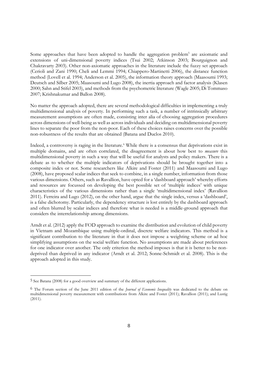Some approaches that have been adopted to handle the aggregation problem<sup>5</sup> are axiomatic and extensions of uni-dimensional poverty indices (Tsui 2002; Atkinson 2003; Bourguignon and Chakravarty 2003). Other non-axiomatic approaches in the literature include the fuzzy set approach (Cerioli and Zani 1990; Cheli and Lemmi 1994; Chiappero-Martinetti 2006), the distance function method (Lovell et al. 1994; Anderson et al. 2005), the information theory approach (Maasoumi 1993; Deutsch and Silber 2005; Maasoumi and Lugo 2008), the inertia approach and factor analysis (Klasen 2000; Sahn and Stifel 2003), and methods from the psychometric literature (Wagle 2005; Di Tommaso 2007; Krishnakumar and Ballon 2008).

No matter the approach adopted, there are several methodological difficulties in implementing a truly multidimensional analysis of poverty. In performing such a task, a number of intrinsically arbitrary measurement assumptions are often made, consisting inter alia of choosing aggregation procedures across dimensions of well-being as well as across individuals and deciding on multidimensional poverty lines to separate the poor from the non-poor. Each of these choices raises concerns over the possible non-robustness of the results that are obtained (Batana and Duclos 2010).

Indeed, a controversy is raging in the literature.<sup>6</sup> While there is a consensus that deprivations exist in multiple domains, and are often correlated, the disagreement is about how best to *measure* this multidimensional poverty in such a way that will be useful for analysts and policy makers. There is a debate as to whether the multiple indicators of deprivations should be brought together into a composite index or not. Some researchers like Alkire and Foster (2011) and Maasoumi and Lugo (2008), have proposed scalar indices that seek to combine, in a single number, information from those various dimensions. Others, such as Ravallion, have opted for a 'dashboard approach' whereby efforts and resources are focussed on developing the best possible set of 'multiple indices' with unique characteristics of the various dimensions rather than a single 'multidimensional index' (Ravallion 2011). Ferreira and Lugo (2012), on the other hand, argue that the single index, versus a 'dashboard', is a false dichotomy. Particularly, the dependency structure is lost entirely by the dashboard approach and often blurred by scalar indices and therefore what is needed is a middle-ground approach that considers the interrelationship among dimensions.

Arndt et al. (2012) apply the FOD approach to examine the distribution and evolution of child poverty in Vietnam and Mozambique using multiple-ordinal, discrete welfare indicators. This method is a significant contribution to the literature in that it does not impose a weighting scheme or ad hoc simplifying assumptions on the social welfare function. No assumptions are made about preferences for one indicator over another. The only criterion the method imposes is that it is better to be nondeprived than deprived in any indicator (Arndt et al. 2012; Sonne-Schmidt et al. 2008). This is the approach adopted in this study.

-

<sup>5</sup> See Batana (2008) for a good overview and summary of the different applications.

<sup>6</sup> The Forum section of the June 2011 edition of the *Journal of Economic Inequality* was dedicated to the debate on multidimensional poverty measurement with contributions from Alkire and Foster (2011); Ravallion (2011); and Lustig (2011).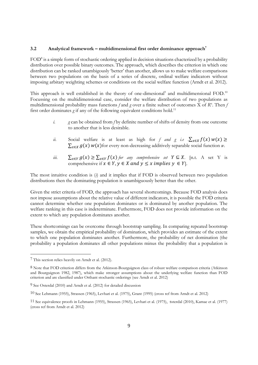#### **3.2 Analytical framework – multidimensional first order dominance approach7**

FOD<sup>8</sup> is a simple form of stochastic ordering applied in decision situations chacterized by a probability distribution over possible binary outcomes. The approach, which describes the criterion in which one distribution can be ranked unambigously 'better' than another, allows us to make welfare comparisons between two populations on the basis of a series of discrete, ordinal welfare indicators without imposing arbitary weighting schemes or conditions on the social welfare function (Arndt et al. 2012).

This approach is well established in the theory of one-dimesional<sup>9</sup> and multidimensional FOD.<sup>10</sup> Focussing on the multidimensional case, consider the welfare distribution of two populations as multidimensional probability mass functions f and g over a finite subset of outcomes X of R<sup>n</sup>. Then *f* first order dominates *g* if any of the following equivalent conditions hold.<sup>11</sup>

- *i. g* can be obtained from *f* by definite number of shifts of density from one outcome to another that is less desirable.
- *ii.* Social welfare is at least as high for *f and g i.e*  $\sum_{x \in X} f(x) w(x) \ge$  $\sum_{x \in X} g(x) w(x)$  for every non-decreasing additively separable social function *w*.
- *iii.*  $\sum_{x \in Y} g(x) \geq \sum_{x \in Y} f(x)$  for any comprehensive set  $Y \subseteq X$ . [n.t. A set Y is comprehensive if  $x \in Y$ ,  $y \in X$  and  $y \le x$  implies  $y \in Y$ .

The most intuitive condition is (*i*) and it implies that if FOD is observed between two population distributions then the dominating population is unambiguously better than the other.

Given the strict criteria of FOD, the approach has several shortcomings. Because FOD analysis does not impose assumptions about the relative value of different indicators, it is possible the FOD criteria cannot determine whether one population dominates or is dominated by another population. The welfare ranking in this case is indeterminate. Futhermore, FOD does not provide information on the extent to which any population dominates another.

These shortcomings can be overcome through bootstrap sampling. In comparing repeated bootstrap samples, we obtain the empirical probability of domination, which provides an estimate of the extent to which one population dominates another. Furthermore, the probability of net domination (the probability a population dominates all other populations minus the probability that a population is

-

<sup>7</sup> This section relies heavily on Arndt et al. (2012).

<sup>8</sup> Note that FOD criterion differs from the Atkinson-Bourguignon class of robust welfare comparison criteria (Atkinson and Bourguignon 1982, 1987), which make stronger assumptions about the underlying welfare function than FOD criterion and are classified under Orthant stochastic orderings (see Arndt et al. 2012)

<sup>9</sup> See Osterdal (2010) and Arndt et al. (2012) for detailed discussion

<sup>10</sup> See Lehmann (1955), Strassen (1965), Levhari et al. (1975), Grant (1995) (cross ref from Arndt et al. 2012)

<sup>11</sup> See equivalence proofs in Lehmann (1955), Strassen (1965), Levhari et al. (1975), ssterdal (2010), Kamae et al. (1977) (cross ref from Arndt et al. 2012)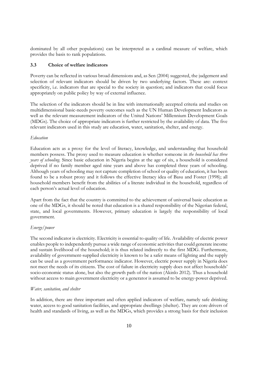dominated by all other populations) can be interpreted as a cardinal measure of welfare, which provides the basis to rank populations.

# **3.3 Choice of welfare indicators**

Poverty can be reflected in various broad dimensions and, as Sen (2004) suggested, the judgement and selection of relevant indicators should be driven by two underlying factors. These are: context specificity, i.e. indicators that are special to the society in question; and indicators that could focus appropriately on public policy by way of external influence.

The selection of the indicators should be in line with internationally accepted criteria and studies on multidimensional basic-needs poverty outcomes such as the UN Human Development Indicators as well as the relevant measurement indicators of the United Nations' Millennium Development Goals (MDGs). The choice of appropriate indicators is further restricted by the availability of data. The five relevant indicators used in this study are education, water, sanitation, shelter, and energy.

#### *Education*

Education acts as a proxy for the level of literacy, knowledge, and understanding that household members possess. The proxy used to measure education is whether someone in *the household has three years of schooling*. Since basic education in Nigeria begins at the age of six, a household is considered deprived if no family member aged nine years and above has completed three years of schooling. Although years of schooling may not capture completion of school or quality of education, it has been found to be a robust proxy and it follows the effective literacy idea of Basu and Foster (1998); all household members benefit from the abilities of a literate individual in the household, regardless of each person's actual level of education.

Apart from the fact that the country is committed to the achievement of universal basic education as one of the MDGs, it should be noted that education is a shared responsibility of the Nigerian federal, state, and local governments. However, primary education is largely the responsibility of local government.

### *Energy/power*

The second indicator is electricity. Electricity is essential to quality of life. Availability of electric power enables people to independently pursue a wide range of economic activities that could generate income and sustain livelihood of the household; it is thus related indirectly to the first MDG. Furthermore, availability of government-supplied electricity is known to be a safer means of lighting and the supply can be used as a government performance indicator. However, electric power supply in Nigeria does not meet the needs of its citizens. The cost of failure in electricity supply does not affect households' socio-economic status alone, but also the growth path of the nation (Akinlo 2012). Thus a household without access to main government electricity or a generator is assumed to be energy-power deprived.

#### *Water, sanitation, and shelter*

In addition, there are three important and often applied indicators of welfare, namely safe drinking water, access to good sanitation facilities, and appropriate dwellings (shelter). They are core drivers of health and standards of living, as well as the MDGs, which provides a strong basis for their inclusion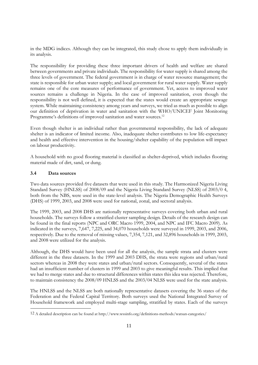in the MDG indices. Although they can be integrated, this study chose to apply them individually in its analysis.

The responsibility for providing these three important drivers of health and welfare are shared between governments and private individuals. The responsibility for water supply is shared among the three levels of government. The federal government is in charge of water resource management; the state is responsible for urban water supply; and local government for rural water supply. Water supply remains one of the core measures of performance of government. Yet, access to improved water sources remains a challenge in Nigeria. In the case of improved sanitation, even though the responsibility is not well defined, it is expected that the states would create an appropriate sewage system. While maintaining consistency among years and surveys, we tried as much as possible to align our definition of deprivation in water and sanitation with the WHO/UNICEF Joint Monitoring Programme's definitions of improved sanitation and water sources.<sup>12</sup>

Even though shelter is an individual rather than governmental responsibility, the lack of adequate shelter is an indicator of limited income. Also, inadequate shelter contributes to low life-expectancy and health and effective intervention in the housing/shelter capability of the population will impact on labour productivity.

A household with no good flooring material is classified as shelter-deprived, which includes flooring material made of dirt, sand, or dung.

# **3.4 Data sources**

-

Two data sources provided five datasets that were used in this study. The Harmonized Nigeria Living Standard Survey (HNLSS) of 2008/09 and the Nigeria Living Standard Survey (NLSS) of 2003/0 4, both from the NBS, were used in the state-level analysis. The Nigeria Demographic Health Surveys (DHS) of 1999, 2003, and 2008 were used for national, zonal, and sectoral analysis.

The 1999, 2003, and 2008 DHS are nationally representative surveys covering both urban and rural households. The surveys follow a stratified cluster sampling design. Details of the research design can be found in the final reports (NPC and ORC Macro 1999, 2004, and NPC and IFC Macro 2009). As indicated in the surveys, 7,647, 7,225, and 34,070 households were surveyed in 1999, 2003, and 2006, respectively. Due to the removal of missing values, 7,354, 7,121, and 32,896 households in 1999, 2003, and 2008 were utilized for the analysis.

Although, the DHS would have been used for all the analysis, the sample strata and clusters were different in the three datasets. In the 1999 and 2003 DHS, the strata were regions and urban/rural sectors whereas in 2008 they were states and urban/rural sectors. Consequently, several of the states had an insufficient number of clusters in 1999 and 2003 to give meaningful results. This implied that we had to merge states and due to structural differences within states this idea was rejected. Therefore, to maintain consistency the 2008/09 HNLSS and the 2003/04 NLSS were used for the state analysis.

The HNLSS and the NLSS are both nationally representative datasets covering the 36 states of the Federation and the Federal Capital Territory. Both surveys used the National Integrated Survey of Household framework and employed multi-stage sampling, stratified by states. Each of the surveys

<sup>12</sup> A detailed description can be found at http://www.wssinfo.org/definitions-methods/watsan-categories/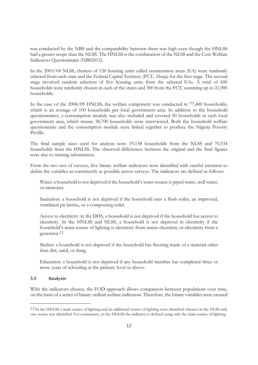was conducted by the NBS and the comparability between them was high even though the HNLSS had a greater scope than the NLSS. The HNLSS is the combination of the NLSS and the Core Welfare Indicators Questionnaire (NBS2012).

In the 2003/04 NLSS, clusters of 120 housing units called enumeration areas (EA) were randomly selected from each state and the Federal Capital Territory (FCT, Abuja) for the first stage. The second stage involved random selection of five housing units from the selected EAs. A total of 600 households were randomly chosen in each of the states and 300 from the FCT, summing up to 21,900 households.

In the case of the 2008/09 HNLSS, the welfare component was conducted in 77,400 households, which is an average of 100 households per local government area. In addition to the household questionnaires, a consumption module was also included and covered 50 households in each local government area, which means 38,700 households were interviewed. Both the household welfare questionnaire and the consumption module were linked together to produce the Nigeria Poverty Profile.

The final sample sizes used for analysis were 19,158 households from the NLSS and 70,534 households from the HNLSS. The observed differences between the original and the final figures were due to missing information.

From the two sets of surveys, five binary welfare indicators were identified with careful attention to define the variables as consistently as possible across surveys. The indicators are defined as follows:

Water: a household is not deprived if the household's water source is piped water, well water, or rainwater.

Sanitation: a household is not deprived if the household uses a flush toilet, an improved, ventilated pit latrine, or a composting toilet.

Access to electricity: in the DHS, a household is not deprived if the household has access to electricity. In the HNLSS and NLSS, a household is not deprived in electricity if the household's main source of lighting is electricity from mains electricity or electricity from a generator.13

Shelter: a household is not deprived if the household has flooring made of a material other than dirt, sand, or dung.

Education: a household is not deprived if any household member has completed three or more years of schooling at the primary level or above.

# **3.5 Analysis**

-

With the indicators chosen, the FOD approach allows comparison between populations over time, on the basis of a series of binary ordinal welfare indicators. Therefore, the binary variables were created

<sup>13</sup> In the HNLSS a main source of lighting and an additional source of lighting were identified whereas in the NLSS only one source was identified. For consistency, in the HNLSS the indicator is defined using only the main source of lighting.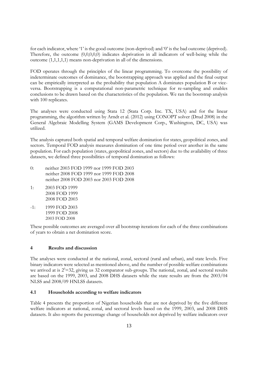for each indicator, where '1' is the good outcome (non-deprived) and '0' is the bad outcome (deprived). Therefore, the outcome  $(0,0,0,0,0)$  indicates deprivation in all indicators of well-being while the outcome (1,1,1,1,1) means non-deprivation in all of the dimensions.

FOD operates through the principles of the linear programming. To overcome the possibility of indeterminate outcomes of dominance, the bootstrapping approach was applied and the final output can be empirically interpreted as the probability that population A dominates population B or viceversa. Bootstrapping is a computational non-parametric technique for re-sampling and enables conclusions to be drawn based on the characteristics of the population. We ran the bootstrap analysis with 100 replicates.

The analyses were conducted using Stata 12 (Stata Corp. Inc. TX, USA) and for the linear programming, the algorithm written by Arndt et al. (2012) using CONOPT solver (Drud 2008) in the General Algebraic Modelling System (GAMS Development Corp., Washington, DC, USA) was utilized.

The analysis captured both spatial and temporal welfare domination for states, geopolitical zones, and sectors. Temporal FOD analysis measures domination of one time period over another in the same population. For each population (states, geopolitical zones, and sectors) due to the availability of three datasets, we defined three possibilities of temporal domination as follows:

- 0: neither 2003 FOD 1999 nor 1999 FOD 2003 neither 2008 FOD 1999 nor 1999 FOD 2008 neither 2008 FOD 2003 nor 2003 FOD 2008
- 1: 2003 FOD 1999 2008 FOD 1999 2008 FOD 2003
- $-1: 1999$  FOD 2003 1999 FOD 2008 2003 FOD 2008

These possible outcomes are averaged over all bootstrap iterations for each of the three combinations of years to obtain a net domination score.

#### **4 Results and discussion**

The analyses were conducted at the national, zonal, sectoral (rural and urban), and state levels. Five binary indicators were selected as mentioned above, and the number of possible welfare combinations we arrived at is  $2^5 = 32$ , giving us 32 comparator sub-groups. The national, zonal, and sectoral results are based on the 1999, 2003, and 2008 DHS datasets while the state results are from the 2003/04 NLSS and 2008/09 HNLSS datasets.

# **4.1 Households according to welfare indicators**

Table 4 presents the proportion of Nigerian households that are not deprived by the five different welfare indicators at national, zonal, and sectoral levels based on the 1999, 2003, and 2008 DHS datasets. It also reports the percentage change of households not deprived by welfare indicators over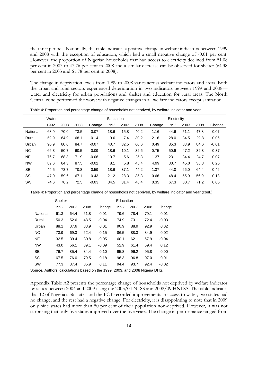the three periods. Nationally, the table indicates a positive change in welfare indicators between 1999 and 2008 with the exception of education, which had a small negative change of -0.01 per cent. However, the proportion of Nigerian households that had access to electricity declined from 51.08 per cent in 2003 to 47.76 per cent in 2008 and a similar decrease can be observed for shelter (64.38 per cent in 2003 and 61.78 per cent in 2008).

The change in deprivation levels from 1999 to 2008 varies across welfare indicators and areas. Both the urban and rural sectors experienced deterioration in two indicators between 1999 and 2008 water and electricity for urban populations and shelter and education for rural areas. The North Central zone performed the worst with negative changes in all welfare indicators except sanitation.

|           | Water |      |      |         |      | Sanitation |      |        | Electricity |      |      |         |  |
|-----------|-------|------|------|---------|------|------------|------|--------|-------------|------|------|---------|--|
|           | 1992  | 2003 | 2008 | Change  | 1992 | 2003       | 2008 | Change | 1992        | 2003 | 2008 | Change  |  |
| National  | 68.9  | 70.0 | 73.5 | 0.07    | 18.6 | 15.8       | 40.2 | 1.16   | 44.6        | 51.1 | 47.8 | 0.07    |  |
| Rural     | 59.9  | 64.9 | 68.1 | 0.14    | 9.6  | 7.4        | 30.2 | 2.16   | 28.0        | 34.5 | 29.8 | 0.06    |  |
| Urban     | 90.9  | 80.0 | 84.7 | $-0.07$ | 40.7 | 32.5       | 60.6 | 0.49   | 85.3        | 83.9 | 84.6 | $-0.01$ |  |
| <b>NC</b> | 66.3  | 50.7 | 60.5 | $-0.09$ | 18.6 | 10.1       | 32.6 | 0.75   | 50.9        | 47.2 | 32.3 | $-0.37$ |  |
| NE        | 76.7  | 68.8 | 71.9 | $-0.06$ | 10.7 | 5.6        | 25.3 | 1.37   | 23.1        | 34.4 | 24.7 | 0.07    |  |
| <b>NW</b> | 89.6  | 84.3 | 87.5 | $-0.02$ | 8.1  | 5.8        | 48.4 | 4.99   | 30.7        | 45.0 | 38.3 | 0.25    |  |
| <b>SE</b> | 44.5  | 73.7 | 70.8 | 0.59    | 18.6 | 37.1       | 44.2 | 1.37   | 44.0        | 66.0 | 64.4 | 0.46    |  |
| SS        | 47.0  | 59.6 | 67.1 | 0.43    | 21.2 | 28.3       | 35.3 | 0.66   | 48.4        | 55.9 | 56.9 | 0.18    |  |
| <b>SW</b> | 74.6  | 76.2 | 72.5 | $-0.03$ | 34.5 | 31.4       | 46.4 | 0.35   | 67.3        | 80.7 | 71.2 | 0.06    |  |

Table 4: Proportion and percentage change of households not deprived, by welfare indicator and year

|           | Shelter              |      |      |         | Education |      |         |         |
|-----------|----------------------|------|------|---------|-----------|------|---------|---------|
|           | 1992                 | 2003 | 2008 | Change  | 1992      | 2003 | 2008    | Change  |
| National  | 61.3                 | 64.4 | 61.8 | 0.01    | 79.6      | 78.4 | 79.1    | $-0.01$ |
| Rural     | 50.3                 | 52.6 | 48.5 | $-0.04$ | 74.9      | 73.1 | 72.4    | $-0.03$ |
| Urban     | 88.1                 | 87.6 | 88.9 | 0.01    | 90.9      | 88.9 | 92.9    | 0.02    |
| <b>NC</b> | 73.9                 | 69.3 | 62.4 | $-0.15$ | 86.5      | 88.3 | 84.9    | $-0.02$ |
| <b>NE</b> | 32.5                 | 39.4 | 30.8 | $-0.05$ | 60.1      | 62.1 | 57.9    | $-0.04$ |
| <b>NW</b> | 43.0                 | 56.1 | 39.1 | $-0.09$ | 52.9      | 61.4 | 59.4    | 0.12    |
| <b>SE</b> | 76.7                 | 85.4 | 84.4 | 0.10    | 95.8      | 96.2 | 95.8    | 0.00    |
| SS        | 67.5                 | 76.0 | 79.5 | 0.18    | 96.3      | 96.8 | 97.0    | 0.01    |
| SW        | 85.9<br>77.3<br>87.4 |      | 0.11 | 94.4    | 93.7      | 92.4 | $-0.02$ |         |
|           |                      |      |      |         |           |      |         |         |

Table 4: Proportion and percentage change of households not deprived, by welfare indicator and year (cont.)

Source*:* Authors' calculations based on the 1999, 2003, and 2008 Nigeria DHS.

Appendix Table A2 presents the percentage change of households not deprived by welfare indicator by states between 2004 and 2009 using the 2003/04 NLSS and 2008/09 HNLSS. The table indicates that 12 of Nigeria's 36 states and the FCT recorded improvements in access to water, two states had no change, and the rest had a negative change. For electricity, it is disappointing to note that in 2009 only nine states had more than 50 per cent of their population non-deprived. However, it was not surprising that only five states improved over the five years. The change in performance ranged from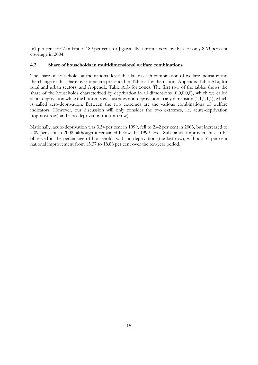-67 per cent for Zamfara to 189 per cent for Jigawa albeit from a very low base of only 8.63 per cent coverage in 2004.

# **4.2 Share of households in multidimensional welfare combinations**

The share of households at the national level that fall in each combination of welfare indicator and the change in this share over time are presented in Table 5 for the nation, Appendix Table A1a, for rural and urban sectors, and Appendix Table A1b for zones. The first row of the tables shows the share of the households characterized by deprivation in all dimensions (0,0,0,0,0), which we called acute-deprivation while the bottom row illustrates non-deprivation in any dimension (1,1,1,1,1), which is called zero-deprivation. Between the two extremes are the various combinations of welfare indicators. However, our discussion will only consider the two extremes, i.e. acute-deprivation (topmost row) and zero-deprivation (bottom row).

Nationally, acute-deprivation was 3.34 per cent in 1999, fell to 2.42 per cent in 2003, but increased to 3.09 per cent in 2008, although it remained below the 1999 level. Substantial improvement can be observed in the percentage of households with no deprivation (the last row), with a 5.51 per cent national improvement from 13.37 to 18.88 per cent over the ten-year period.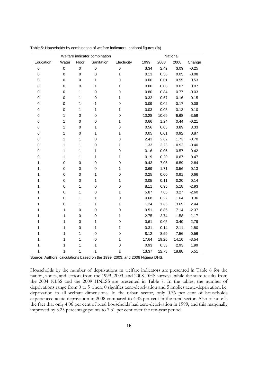|           |                  |             | Welfare indicator combination |              | National |       |       |         |  |  |  |
|-----------|------------------|-------------|-------------------------------|--------------|----------|-------|-------|---------|--|--|--|
| Education | Water            | Floor       | Sanitation                    | Electricity  | 1999     | 2003  | 2008  | Change  |  |  |  |
| $\pmb{0}$ | $\mathbf 0$      | $\mathbf 0$ | $\pmb{0}$                     | 0            | 3.34     | 2.42  | 3.09  | $-0.25$ |  |  |  |
| $\pmb{0}$ | $\mathbf 0$      | $\mathbf 0$ | $\mathbf 0$                   | $\mathbf{1}$ | 0.13     | 0.56  | 0.05  | $-0.08$ |  |  |  |
| 0         | $\mathbf 0$      | $\mathbf 0$ | $\mathbf{1}$                  | $\mathbf 0$  | 0.06     | 0.01  | 0.59  | 0.53    |  |  |  |
| 0         | $\mathbf 0$      | $\pmb{0}$   | 1                             | 1            | 0.00     | 0.00  | 0.07  | 0.07    |  |  |  |
| 0         | $\pmb{0}$        | 1           | $\mathbf 0$                   | $\pmb{0}$    | 0.80     | 0.84  | 0.77  | $-0.03$ |  |  |  |
| 0         | $\boldsymbol{0}$ | 1           | $\mathbf 0$                   | $\mathbf{1}$ | 0.32     | 0.57  | 0.16  | $-0.15$ |  |  |  |
| 0         | $\mathbf 0$      | 1           | $\mathbf{1}$                  | 0            | 0.09     | 0.02  | 0.17  | 0.08    |  |  |  |
| 0         | $\mathbf 0$      | 1           | $\mathbf{1}$                  | 1            | 0.03     | 0.08  | 0.13  | 0.10    |  |  |  |
| 0         | 1                | $\pmb{0}$   | $\pmb{0}$                     | 0            | 10.28    | 10.69 | 6.68  | $-3.59$ |  |  |  |
| 0         | 1                | $\pmb{0}$   | $\mathbf 0$                   | 1            | 0.66     | 1.24  | 0.44  | $-0.21$ |  |  |  |
| 0         | 1                | 0           | $\mathbf 1$                   | 0            | 0.56     | 0.03  | 3.89  | 3.33    |  |  |  |
| 0         | 1                | $\mathbf 0$ | $\mathbf 1$                   | 1            | 0.05     | 0.01  | 0.92  | 0.87    |  |  |  |
| 0         | 1                | 1           | $\pmb{0}$                     | $\mathbf 0$  | 2.43     | 2.62  | 1.73  | $-0.70$ |  |  |  |
| 0         | 1                | 1           | $\mathbf 0$                   | 1            | 1.33     | 2.23  | .0.92 | $-0.40$ |  |  |  |
| 0         | 1                | 1           | $\mathbf 1$                   | $\pmb{0}$    | 0.16     | 0.05  | 0.57  | 0.42    |  |  |  |
| 0         | 1                | 1           | $\mathbf 1$                   | $\mathbf{1}$ | 0.19     | 0.20  | 0.67  | 0.47    |  |  |  |
| 1         | $\mathbf 0$      | $\mathbf 0$ | $\mathbf 0$                   | 0            | 9.43     | 7.05  | 6.59  | 2.84    |  |  |  |
| 1         | $\pmb{0}$        | $\mathbf 0$ | $\mathbf 0$                   | 1            | 0.69     | 1.71  | 0.56  | $-0.13$ |  |  |  |
| 1         | 0                | $\pmb{0}$   | $\mathbf 1$                   | 0            | 0.25     | 0.00  | 0.91  | 0.66    |  |  |  |
| 1         | $\mathbf 0$      | $\mathbf 0$ | $\mathbf{1}$                  | 1            | 0.05     | 0.11  | 0.20  | 0.14    |  |  |  |
| 1         | $\mathbf 0$      | 1           | $\pmb{0}$                     | $\pmb{0}$    | 8.11     | 6.95  | 5.18  | $-2.93$ |  |  |  |
| 1         | $\mathbf 0$      | 1           | $\pmb{0}$                     | 1            | 5.87     | 7.85  | 3.27  | $-2.60$ |  |  |  |
| 1         | $\mathsf 0$      | 1           | $\mathbf{1}$                  | $\pmb{0}$    | 0.68     | 0.22  | 1.04  | 0.36    |  |  |  |
| 1         | 0                | 1           | $\mathbf 1$                   | 1            | 1.24     | 1.63  | 3.69  | 2.44    |  |  |  |
| 1         | 1                | $\mathbf 0$ | $\pmb{0}$                     | 0            | 9.51     | 8.85  | 7.14  | $-2.37$ |  |  |  |
|           | 1                | $\pmb{0}$   | $\mathbf 0$                   | 1            | 2.75     | 2.74  | 1.58  | $-1.17$ |  |  |  |
|           | 1                | $\mathbf 0$ | 1                             | 0            | 0.61     | 0.05  | 3.40  | 2.79    |  |  |  |
|           | 1                | 0           | $\mathbf 1$                   | 1            | 0.31     | 0.14  | 2.11  | 1.80    |  |  |  |
|           | 1                | 1           | $\mathbf 0$                   | 0            | 8.12     | 8.59  | 7.56  | $-0.56$ |  |  |  |
| 1         | 1                | 1           | $\mathbf 0$                   | 1            | 17.64    | 19.26 | 14.10 | $-3.54$ |  |  |  |
| 1         | 1                | 1           | 1                             | 0            | 0.93     | 0.53  | 2.93  | 1.99    |  |  |  |
| 1         | 1                | 1           | 1                             | 1            | 13.37    | 12.73 | 18.88 | 5.51    |  |  |  |

Table 5: Households by combination of welfare indicators, national figures (%)

Source: Authors' calculations based on the 1999, 2003, and 2008 Nigeria DHS.

Households by the number of deprivations in welfare indicators are presented in Table 6 for the nation, zones, and sectors from the 1999, 2003, and 2008 DHS surveys, while the state results from the 2004 NLSS and the 2009 HNLSS are presented in Table 7. In the tables, the number of deprivations range from 0 to 5 where 0 signifies zero-deprivation and 5 implies acute-deprivation, i.e. deprivation in all welfare dimensions. In the urban sector, only 0.36 per cent of households experienced acute-deprivation in 2008 compared to 4.42 per cent in the rural sector. Also of note is the fact that only 4.06 per cent of rural households had zero-deprivation in 1999, and this marginally improved by 3.25 percentage points to 7.31 per cent over the ten-year period.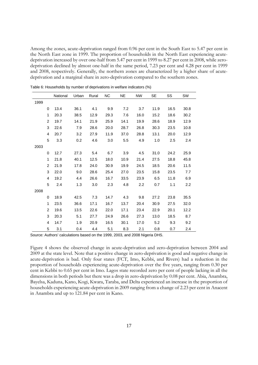Among the zones, acute-deprivation ranged from 0.96 per cent in the South East to 5.47 per cent in the North East zone in 1999. The proportion of households in the North East experiencing acutedeprivation increased by over one-half from 5.47 per cent in 1999 to 8.27 per cent in 2008, while zerodeprivation declined by almost one-half in the same period, 7.23 per cent and 4.28 per cent in 1999 and 2008, respectively. Generally, the northern zones are characterized by a higher share of acutedeprivation and a marginal share in zero-deprivation compared to the southern zones.

|      |                | National | Urban | Rural | <b>NC</b> | <b>NE</b> | <b>NW</b> | <b>SE</b> | <b>SS</b> | SW   |
|------|----------------|----------|-------|-------|-----------|-----------|-----------|-----------|-----------|------|
| 1999 |                |          |       |       |           |           |           |           |           |      |
|      | 0              | 13.4     | 36.1  | 4.1   | 9.9       | 7.2       | 3.7       | 11.9      | 16.5      | 30.8 |
|      | 1              | 20.3     | 38.5  | 12.9  | 29.3      | 7.6       | 16.0      | 15.2      | 18.6      | 30.2 |
|      | 2              | 19.7     | 14.1  | 21.9  | 25.9      | 14.1      | 19.9      | 28.6      | 18.9      | 12.9 |
|      | 3              | 22.6     | 7.9   | 28.6  | 20.0      | 28.7      | 26.8      | 30.3      | 23.5      | 10.8 |
|      | 4              | 20.7     | 3.2   | 27.9  | 11.9      | 37.0      | 28.8      | 13.1      | 20.0      | 12.9 |
|      | 5              | 3.3      | 0.2   | 4.6   | 3.0       | 5.5       | 4.9       | 1.0       | 2.5       | 2.4  |
| 2003 |                |          |       |       |           |           |           |           |           |      |
|      | 0              | 12.7     | 27.3  | 5.4   | 6.7       | 3.9       | 4.5       | 31.0      | 24.2      | 25.9 |
|      | 1              | 21.8     | 40.1  | 12.5  | 18.0      | 10.9      | 21.4      | 27.5      | 18.8      | 45.8 |
|      | $\overline{2}$ | 21.9     | 17.8  | 24.0  | 30.9      | 19.9      | 24.5      | 18.5      | 20.6      | 11.5 |
|      | 3              | 22.0     | 9.0   | 28.6  | 25.4      | 27.0      | 23.5      | 15.8      | 23.5      | 7.7  |
|      | 4              | 19.2     | 4.4   | 26.6  | 16.7      | 33.5      | 23.9      | 6.5       | 11.8      | 6.9  |
|      | 5              | 2.4      | 1.3   | 3.0   | 2.3       | 4.8       | 2.2       | 0.7       | 1.1       | 2.2  |
| 2008 |                |          |       |       |           |           |           |           |           |      |
|      | 0              | 18.9     | 42.5  | 7.3   | 14.7      | 4.3       | 9.8       | 27.2      | 23.8      | 35.5 |
|      | 1              | 23.5     | 36.6  | 17.1  | 16.7      | 13.7      | 20.4      | 30.9      | 27.5      | 32.0 |
|      | 2              | 19.6     | 13.5  | 22.6  | 22.0      | 17.1      | 23.4      | 22.9      | 20.1      | 12.2 |
|      | 3              | 20.3     | 5.1   | 27.7  | 24.9      | 26.6      | 27.3      | 13.0      | 18.5      | 8.7  |
|      | $\overline{4}$ | 14.7     | 1.9   | 20.9  | 16.5      | 30.1      | 17.0      | 5.2       | 9.3       | 9.2  |
|      | 5              | 3.1      | 0.4   | 4.4   | 5.1       | 8.3       | 2.1       | 0.8       | 0.7       | 2.4  |

Table 6: Households by number of deprivations in welfare indicators (%)

Source: Authors' calculations based on the 1999, 2003, and 2008 Nigeria DHS.

Figure 4 shows the observed change in acute-deprivation and zero-deprivation between 2004 and 2009 at the state level. Note that a positive change in zero-deprivation is good and negative change in acute-deprivation is bad. Only four states (FCT, Imo, Kebbi, and Rivers) had a reduction in the proportion of households experiencing acute-deprivation over the five years, ranging from 0.30 per cent in Kebbi to 0.65 per cent in Imo. Lagos state recorded zero per cent of people lacking in all the dimensions in both periods but there was a drop in zero-deprivation by 0.08 per cent. Abia, Anambra, Bayelsa, Kaduna, Kano, Kogi, Kwara, Taraba, and Delta experienced an increase in the proportion of households experiencing acute-deprivation in 2009 ranging from a change of 2.23 per cent in Anacent in Anambra and up to 121.84 per cent in Kano.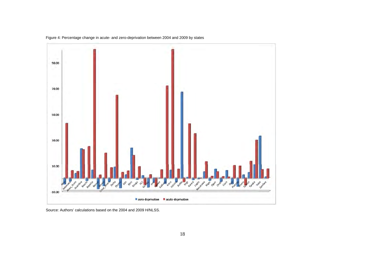

Figure 4: Percentage change in acute- and zero-deprivation between 2004 and 2009 by states

Source: Authors' calculations based on the 2004 and 2009 H/NLSS.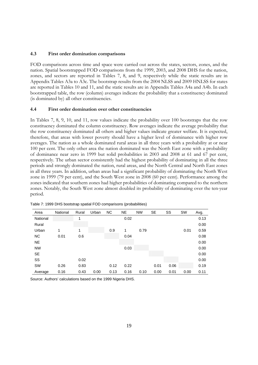# **4.3 First order domination comparisons**

FOD comparisons across time and space were carried out across the states, sectors, zones, and the nation. Spatial bootstrapped FOD comparisons from the 1999, 2003, and 2008 DHS for the nation, zones, and sectors are reported in Tables 7, 8, and 9, respectively while the static results are in Appendix Tables A3a to A3c. The bootstrap results from the 2004 NLSS and 2009 HNLSS for states are reported in Tables 10 and 11, and the static results are in Appendix Tables A4a and A4b. In each bootstrapped table, the row (column) averages indicate the probability that a constituency dominated (is dominated by) all other constituencies.

#### **4.4 First order domination over other constituencies**

In Tables 7, 8, 9, 10, and 11, row values indicate the probability over 100 bootstraps that the row constituency dominated the column constituency. Row averages indicate the average probability that the row constituency dominated all others and higher values indicate greater welfare. It is expected, therefore, that areas with lower poverty should have a higher level of dominance with higher row averages. The nation as a whole dominated rural areas in all three years with a probability at or near 100 per cent. The only other area the nation dominated was the North East zone with a probability of dominance near zero in 1999 but solid probabilities in 2003 and 2008 at 61 and 67 per cent, respectively. The urban sector consistently had the highest probability of dominating in all the three periods and strongly dominated the nation, rural areas, and the North Central and North East zones in all three years. In addition, urban areas had a significant probability of dominating the North West zone in 1999 (79 per cent), and the South West zone in 2008 (60 per cent). Performance among the zones indicated that southern zones had higher probabilities of dominating compared to the northern zones. Notably, the South West zone almost doubled its probability of dominating over the ten-year period.

| Area      | National | Rural | Urban | NC.  | <b>NE</b> | <b>NW</b> | <b>SE</b> | SS   | <b>SW</b> | Avg. |
|-----------|----------|-------|-------|------|-----------|-----------|-----------|------|-----------|------|
| National  |          | 1     |       |      | 0.02      |           |           |      |           | 0.13 |
| Rural     |          |       |       |      |           |           |           |      |           | 0.00 |
| Urban     | 1        | 1     |       | 0.9  | 1         | 0.79      |           |      | 0.01      | 0.59 |
| <b>NC</b> | 0.01     | 0.6   |       |      | 0.04      |           |           |      |           | 0.08 |
| <b>NE</b> |          |       |       |      |           |           |           |      |           | 0.00 |
| <b>NW</b> |          |       |       |      | 0.03      |           |           |      |           | 0.00 |
| <b>SE</b> |          |       |       |      |           |           |           |      |           | 0.00 |
| SS        |          | 0.02  |       |      |           |           |           |      |           | 0.00 |
| <b>SW</b> | 0.26     | 0.83  |       | 0.12 | 0.22      |           | 0.01      | 0.06 |           | 0.19 |
| Average   | 0.16     | 0.43  | 0.00  | 0.13 | 0.16      | 0.10      | 0.00      | 0.01 | 0.00      | 0.11 |

Table 7: 1999 DHS bootstrap spatial FOD comparisons (probabilities)

Source: Authors' calculations based on the 1999 Nigeria DHS.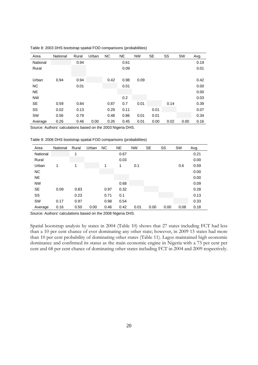| Area      | National | Rural | Urban | <b>NC</b> | <b>NE</b> | <b>NW</b> | SE   | SS   | <b>SW</b> | Avg. |
|-----------|----------|-------|-------|-----------|-----------|-----------|------|------|-----------|------|
| National  |          | 0.94  |       |           | 0.61      |           |      |      |           | 0.19 |
| Rural     |          |       |       |           | 0.09      |           |      |      |           | 0.01 |
|           |          |       |       |           |           |           |      |      |           |      |
| Urban     | 0.94     | 0.94  |       | 0.42      | 0.98      | 0.09      |      |      |           | 0.42 |
| NC.       |          | 0.01  |       |           | 0.01      |           |      |      |           | 0.00 |
| <b>NE</b> |          |       |       |           |           |           |      |      |           | 0.00 |
| <b>NW</b> |          |       |       |           | 0.2       |           |      |      |           | 0.03 |
| <b>SE</b> | 0.59     | 0.84  |       | 0.87      | 0.7       | 0.01      |      | 0.14 |           | 0.39 |
| SS        | 0.02     | 0.13  |       | 0.29      | 0.11      |           | 0.01 |      |           | 0.07 |
| SW        | 0.56     | 0.79  |       | 0.48      | 0.86      | 0.01      | 0.01 |      |           | 0.34 |
| Average   | 0.26     | 0.46  | 0.00  | 0.26      | 0.45      | 0.01      | 0.00 | 0.02 | 0.00      | 0.16 |

Table 8: 2003 DHS bootstrap spatial FOD comparisons (probabilities)

Source: Authors' calculations based on the 2003 Nigeria DHS.

Table 9: 2008 DHS bootstrap spatial FOD comparisons (probabilities)

| Area      | National | Rural | Urban | <b>NC</b> | <b>NE</b> | <b>NW</b> | <b>SE</b> | SS   | SW   | Avg. |
|-----------|----------|-------|-------|-----------|-----------|-----------|-----------|------|------|------|
| National  |          | 1     |       |           | 0.67      |           |           |      |      | 0.21 |
| Rural     |          |       |       |           | 0.03      |           |           |      |      | 0.00 |
| Urban     | 1        | 1     |       | 1         | 1         | 0.1       |           |      | 0.6  | 0.59 |
| <b>NC</b> |          |       |       |           |           |           |           |      |      | 0.00 |
| <b>NE</b> |          |       |       |           |           |           |           |      |      | 0.00 |
| <b>NW</b> |          |       |       |           | 0.68      |           |           |      |      | 0.09 |
| SE        | 0.09     | 0.83  |       | 0.97      | 0.32      |           |           |      |      | 0.28 |
| SS        |          | 0.23  |       | 0.71      | 0.1       |           |           |      |      | 0.13 |
| SW        | 0.17     | 0.97  |       | 0.98      | 0.54      |           |           |      |      | 0.33 |
| Average   | 0.16     | 0.50  | 0.00  | 0.46      | 0.42      | 0.01      | 0.00      | 0.00 | 0.08 | 0.18 |

Source: Authors' calculations based on the 2008 Nigeria DHS.

Spatial bootstrap analysis by states in 2004 (Table 10) shows that 27 states including FCT had less than a 10 per cent chance of ever dominating any other state; however, in 2009 15 states had more than 10 per cent probability of dominating other states (Table 11). Lagos maintained high economic dominance and confirmed its status as the main economic engine in Nigeria with a 73 per cent per cent and 68 per cent chance of dominating other states including FCT in 2004 and 2009 respectively.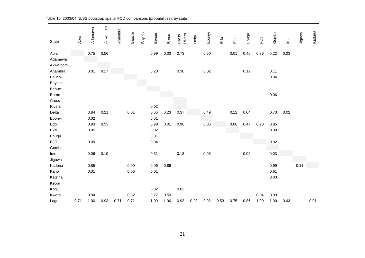| State      | Abia | Adamawa | Akwalbom | Anambra | <b>Bauchi</b> | Bayelsa | Benue | Borno | Rivers<br>Cross | Delta | Ebonyi | Edo  | Ekiti | Enugu | FCT  | Gombe | $\underline{\underline{\mathsf{e}}}$ | Jigawa | Kaduna |
|------------|------|---------|----------|---------|---------------|---------|-------|-------|-----------------|-------|--------|------|-------|-------|------|-------|--------------------------------------|--------|--------|
| Abia       |      | 0.75    | 0.56     |         |               |         | 0.99  | 0.03  | 0.73            |       | 0.60   |      | 0.01  | 0.46  | 0.39 | 0.22  | 0.03                                 |        |        |
| Adamawa    |      |         |          |         |               |         |       |       |                 |       |        |      |       |       |      |       |                                      |        |        |
| Akwalbom   |      |         |          |         |               |         |       |       |                 |       |        |      |       |       |      |       |                                      |        |        |
| Anambra    |      | 0.01    | 0.17     |         |               |         | 0.20  |       | 0.30            |       | 0.02   |      |       | 0.12  |      | 0.11  |                                      |        |        |
| Bauchi     |      |         |          |         |               |         |       |       |                 |       |        |      |       |       |      | 0.04  |                                      |        |        |
| Bayelsa    |      |         |          |         |               |         |       |       |                 |       |        |      |       |       |      |       |                                      |        |        |
| Benue      |      |         |          |         |               |         |       |       |                 |       |        |      |       |       |      |       |                                      |        |        |
| Borno      |      |         |          |         |               |         |       |       |                 |       |        |      |       |       |      | 0.06  |                                      |        |        |
| Cross      |      |         |          |         |               |         |       |       |                 |       |        |      |       |       |      |       |                                      |        |        |
| Rivers     |      |         |          |         |               |         | 0.02  |       |                 |       |        |      |       |       |      |       |                                      |        |        |
| Delta      |      | 0.84    | 0.21     |         | 0.01          |         | 0.66  | 0.23  | 0.37            |       | 0.49   |      | 0.12  | 0.04  |      | 0.73  | 0.02                                 |        |        |
| Ebonyi     |      | 0.02    |          |         |               |         | 0.01  |       |                 |       |        |      |       |       |      |       |                                      |        |        |
| Edo        |      | 0.93    | 0.53     |         |               |         | 0.98  | 0.01  | 0.90            |       | 0.86   |      | 0.06  | 0.47  | 0.20 | 0.85  |                                      |        |        |
| Ekiti      |      | 0.05    |          |         |               |         | 0.02  |       |                 |       |        |      |       |       |      | 0.38  |                                      |        |        |
| Enugu      |      |         |          |         |               |         | 0.01  |       |                 |       |        |      |       |       |      |       |                                      |        |        |
| <b>FCT</b> |      | 0.09    |          |         |               |         | 0.04  |       |                 |       |        |      |       |       |      | 0.02  |                                      |        |        |
| Gombe      |      |         |          |         |               |         |       |       |                 |       |        |      |       |       |      |       |                                      |        |        |
| Imo        |      | 0.06    | 0.10     |         |               |         | 0.31  |       | 0.18            |       | 0.06   |      |       | 0.02  |      | 0.03  |                                      |        |        |
| Jigawa     |      |         |          |         |               |         |       |       |                 |       |        |      |       |       |      |       |                                      |        |        |
| Kaduna     |      | 0.85    |          |         | 0.99          |         | 0.06  | 0.86  |                 |       |        |      |       |       |      | 0.99  |                                      | 0.11   |        |
| Kano       |      | 0.01    |          |         | 0.06          |         | 0.01  |       |                 |       |        |      |       |       |      | 0.61  |                                      |        |        |
| Katsina    |      |         |          |         |               |         |       |       |                 |       |        |      |       |       |      | 0.03  |                                      |        |        |
| Kebbi      |      |         |          |         |               |         |       |       |                 |       |        |      |       |       |      |       |                                      |        |        |
| Kogi       |      |         |          |         |               |         | 0.02  |       | 0.02            |       |        |      |       |       |      |       |                                      |        |        |
| Kwara      |      | 0.94    |          |         | 0.32          |         | 0.27  | 0.59  |                 |       |        |      |       |       | 0.04 | 0.99  |                                      |        |        |
| Lagos      | 0.71 | 1.00    | 0.93     | 0.71    | 0.71          |         | 1.00  | 1.00  | 0.93            | 0.28  | 0.92   | 0.53 | 0.75  | 0.86  | 1.00 | 1.00  | 0.63                                 |        | 0.01   |

Table 10: 2003/04 NLSS bootstrap spatial FOD comparisons (probabilities), by state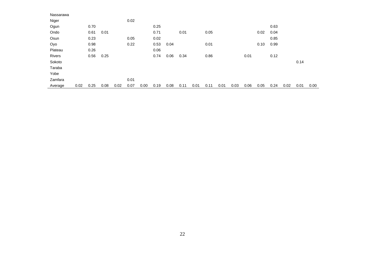| Nassarawa |      |      |      |      |      |      |      |      |      |      |      |      |      |      |      |      |      |      |      |
|-----------|------|------|------|------|------|------|------|------|------|------|------|------|------|------|------|------|------|------|------|
| Niger     |      |      |      |      | 0.02 |      |      |      |      |      |      |      |      |      |      |      |      |      |      |
| Ogun      |      | 0.70 |      |      |      |      | 0.25 |      |      |      |      |      |      |      |      | 0.63 |      |      |      |
| Ondo      |      | 0.61 | 0.01 |      |      |      | 0.71 |      | 0.01 |      | 0.05 |      |      |      | 0.02 | 0.04 |      |      |      |
| Osun      |      | 0.23 |      |      | 0.05 |      | 0.02 |      |      |      |      |      |      |      |      | 0.85 |      |      |      |
| Oyo       |      | 0.98 |      |      | 0.22 |      | 0.53 | 0.04 |      |      | 0.01 |      |      |      | 0.10 | 0.99 |      |      |      |
| Plateau   |      | 0.26 |      |      |      |      | 0.06 |      |      |      |      |      |      |      |      |      |      |      |      |
| Rivers    |      | 0.56 | 0.25 |      |      |      | 0.74 | 0.06 | 0.34 |      | 0.86 |      |      | 0.01 |      | 0.12 |      |      |      |
| Sokoto    |      |      |      |      |      |      |      |      |      |      |      |      |      |      |      |      |      | 0.14 |      |
| Taraba    |      |      |      |      |      |      |      |      |      |      |      |      |      |      |      |      |      |      |      |
| Yobe      |      |      |      |      |      |      |      |      |      |      |      |      |      |      |      |      |      |      |      |
| Zamfara   |      |      |      |      | 0.01 |      |      |      |      |      |      |      |      |      |      |      |      |      |      |
| Average   | 0.02 | 0.25 | 0.08 | 0.02 | 0.07 | 0.00 | 0.19 | 0.08 | 0.11 | 0.01 | 0.11 | 0.01 | 0.03 | 0.06 | 0.05 | 0.24 | 0.02 | 0.01 | 0.00 |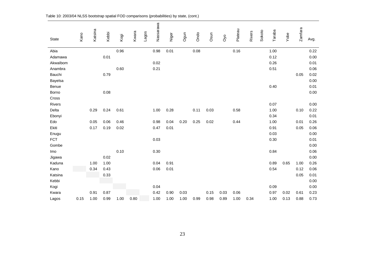|              | Kano | Katsina | Kebbi |      | Kwara | Lagos | Nassarawa | Niger | Ogun | Ondo | Osun |                  | Plateau | <b>Rivers</b> | Sokoto | Taraba | Yobe | Zamfara |      |
|--------------|------|---------|-------|------|-------|-------|-----------|-------|------|------|------|------------------|---------|---------------|--------|--------|------|---------|------|
| <b>State</b> |      |         |       | Kogi |       |       |           |       |      |      |      | O <sub>v</sub> o |         |               |        |        |      |         | Avg. |
| Abia         |      |         |       | 0.96 |       |       | 0.98      | 0.01  |      | 0.08 |      |                  | 0.16    |               |        | 1.00   |      |         | 0.22 |
| Adamawa      |      |         | 0.01  |      |       |       |           |       |      |      |      |                  |         |               |        | 0.12   |      |         | 0.00 |
| Akwalbom     |      |         |       |      |       |       | 0.02      |       |      |      |      |                  |         |               |        | 0.26   |      |         | 0.01 |
| Anambra      |      |         |       | 0.60 |       |       | 0.21      |       |      |      |      |                  |         |               |        | 0.51   |      |         | 0.06 |
| Bauchi       |      |         | 0.79  |      |       |       |           |       |      |      |      |                  |         |               |        |        |      | 0.05    | 0.02 |
| Bayelsa      |      |         |       |      |       |       |           |       |      |      |      |                  |         |               |        |        |      |         | 0.00 |
| Benue        |      |         |       |      |       |       |           |       |      |      |      |                  |         |               |        | 0.40   |      |         | 0.01 |
| Borno        |      |         | 0.08  |      |       |       |           |       |      |      |      |                  |         |               |        |        |      |         | 0.00 |
| Cross        |      |         |       |      |       |       |           |       |      |      |      |                  |         |               |        |        |      |         |      |
| Rivers       |      |         |       |      |       |       |           |       |      |      |      |                  |         |               |        | 0.07   |      |         | 0.00 |
| Delta        |      | 0.29    | 0.24  | 0.61 |       |       | 1.00      | 0.28  |      | 0.11 | 0.03 |                  | 0.58    |               |        | 1.00   |      | 0.10    | 0.22 |
| Ebonyi       |      |         |       |      |       |       |           |       |      |      |      |                  |         |               |        | 0.34   |      |         | 0.01 |
| Edo          |      | 0.05    | 0.06  | 0.46 |       |       | 0.98      | 0.04  | 0.20 | 0.25 | 0.02 |                  | 0.44    |               |        | 1.00   |      | 0.01    | 0.26 |
| Ekiti        |      | 0.17    | 0.19  | 0.02 |       |       | 0.47      | 0.01  |      |      |      |                  |         |               |        | 0.91   |      | 0.05    | 0.06 |
| Enugu        |      |         |       |      |       |       |           |       |      |      |      |                  |         |               |        | 0.03   |      |         | 0.00 |
| <b>FCT</b>   |      |         |       |      |       |       | 0.03      |       |      |      |      |                  |         |               |        | 0.30   |      |         | 0.01 |
| Gombe        |      |         |       |      |       |       |           |       |      |      |      |                  |         |               |        |        |      |         | 0.00 |
| Imo          |      |         |       | 0.10 |       |       | 0.30      |       |      |      |      |                  |         |               |        | 0.84   |      |         | 0.06 |
| Jigawa       |      |         | 0.02  |      |       |       |           |       |      |      |      |                  |         |               |        |        |      |         | 0.00 |
| Kaduna       |      | 1.00    | 1.00  |      |       |       | 0.04      | 0.91  |      |      |      |                  |         |               |        | 0.89   | 0.65 | 1.00    | 0.26 |
| Kano         |      | 0.34    | 0.43  |      |       |       | 0.06      | 0.01  |      |      |      |                  |         |               |        | 0.54   |      | 0.12    | 0.06 |
| Katsina      |      |         | 0.33  |      |       |       |           |       |      |      |      |                  |         |               |        |        |      | 0.05    | 0.01 |
| Kebbi        |      |         |       |      |       |       |           |       |      |      |      |                  |         |               |        |        |      |         | 0.00 |
| Kogi         |      |         |       |      |       |       | 0.04      |       |      |      |      |                  |         |               |        | 0.09   |      |         | 0.00 |
| Kwara        |      | 0.91    | 0.87  |      |       |       | 0.42      | 0.90  | 0.03 |      | 0.15 | 0.03             | 0.06    |               |        | 0.97   | 0.02 | 0.61    | 0.23 |
| Lagos        | 0.15 | 1.00    | 0.99  | 1.00 | 0.80  |       | 1.00      | 1.00  | 1.00 | 0.99 | 0.98 | 0.89             | 1.00    | 0.34          |        | 1.00   | 0.13 | 0.88    | 0.73 |

Table 10: 2003/04 NLSS bootstrap spatial FOD comparisons (probabilities) by state, (cont.)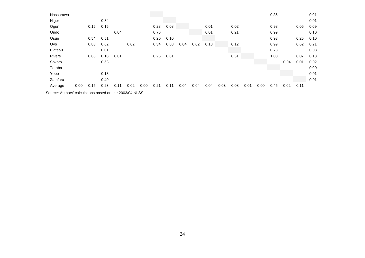| Nassarawa     |      |      |      |      |      |      |      |      |      |      |      |      |      |      |      | 0.36 |      |      | 0.01 |
|---------------|------|------|------|------|------|------|------|------|------|------|------|------|------|------|------|------|------|------|------|
| Niger         |      |      | 0.34 |      |      |      |      |      |      |      |      |      |      |      |      |      |      |      | 0.01 |
| Ogun          |      | 0.15 | 0.15 |      |      |      | 0.28 | 0.08 |      |      | 0.01 |      | 0.02 |      |      | 0.98 |      | 0.05 | 0.09 |
| Ondo          |      |      |      | 0.04 |      |      | 0.76 |      |      |      | 0.01 |      | 0.21 |      |      | 0.99 |      |      | 0.10 |
| Osun          |      | 0.54 | 0.51 |      |      |      | 0.20 | 0.10 |      |      |      |      |      |      |      | 0.93 |      | 0.25 | 0.10 |
| Oyo           |      | 0.83 | 0.82 |      | 0.02 |      | 0.34 | 0.68 | 0.04 | 0.02 | 0.18 |      | 0.12 |      |      | 0.99 |      | 0.62 | 0.21 |
| Plateau       |      |      | 0.01 |      |      |      |      |      |      |      |      |      |      |      |      | 0.73 |      |      | 0.03 |
| <b>Rivers</b> |      | 0.06 | 0.18 | 0.01 |      |      | 0.26 | 0.01 |      |      |      |      | 0.31 |      |      | 1.00 |      | 0.07 | 0.13 |
| Sokoto        |      |      | 0.53 |      |      |      |      |      |      |      |      |      |      |      |      |      | 0.04 | 0.01 | 0.02 |
| Taraba        |      |      |      |      |      |      |      |      |      |      |      |      |      |      |      |      |      |      | 0.00 |
| Yobe          |      |      | 0.18 |      |      |      |      |      |      |      |      |      |      |      |      |      |      |      | 0.01 |
| Zamfara       |      |      | 0.49 |      |      |      |      |      |      |      |      |      |      |      |      |      |      |      | 0.01 |
| Average       | 0.00 | 0.15 | 0.23 | 0.11 | 0.02 | 0.00 | 0.21 | 0.11 | 0.04 | 0.04 | 0.04 | 0.03 | 0.08 | 0.01 | 0.00 | 0.45 | 0.02 | 0.11 |      |

Source: Authors' calculations based on the 2003/04 NLSS.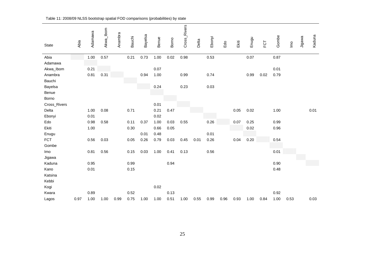| State           | Abia | Adamawa | Akwa_lbom | Anambra | <b>Bauchi</b> | Bayelsa | Benue | Borno | Cross_Rivers | Delta | Ebonyi   | Edo  | Ekiti | Enugu | FCT  | Gombe | $\underline{\mathsf{S}}$ | Jigawa | Kaduna |
|-----------------|------|---------|-----------|---------|---------------|---------|-------|-------|--------------|-------|----------|------|-------|-------|------|-------|--------------------------|--------|--------|
| Abia<br>Adamawa |      | 1.00    | 0.57      |         | 0.21          | 0.73    | 1.00  | 0.02  | 0.98         |       | 0.53     |      |       | 0.07  |      | 0.87  |                          |        |        |
| Akwa_Ibom       |      | 0.21    |           |         |               |         | 0.07  |       |              |       |          |      |       |       |      | 0.01  |                          |        |        |
| Anambra         |      | 0.81    | 0.31      |         |               | 0.94    | 1.00  |       | 0.99         |       | 0.74     |      |       | 0.99  | 0.02 | 0.79  |                          |        |        |
| Bauchi          |      |         |           |         |               |         |       |       |              |       |          |      |       |       |      |       |                          |        |        |
| Bayelsa         |      |         |           |         |               |         | 0.24  |       | 0.23         |       | $0.03\,$ |      |       |       |      |       |                          |        |        |
| Benue           |      |         |           |         |               |         |       |       |              |       |          |      |       |       |      |       |                          |        |        |
| Borno           |      |         |           |         |               |         |       |       |              |       |          |      |       |       |      |       |                          |        |        |
| Cross_Rivers    |      |         |           |         |               |         | 0.01  |       |              |       |          |      |       |       |      |       |                          |        |        |
| Delta           |      | 1.00    | 0.08      |         | 0.71          |         | 0.21  | 0.47  |              |       |          |      | 0.05  | 0.02  |      | 1.00  |                          |        | 0.01   |
| Ebonyi          |      | 0.01    |           |         |               |         | 0.02  |       |              |       |          |      |       |       |      |       |                          |        |        |
| Edo             |      | 0.98    | 0.58      |         | 0.11          | 0.37    | 1.00  | 0.03  | 0.55         |       | 0.26     |      | 0.07  | 0.25  |      | 0.99  |                          |        |        |
| Ekiti           |      | 1.00    |           |         | 0.30          |         | 0.66  | 0.05  |              |       |          |      |       | 0.02  |      | 0.96  |                          |        |        |
| Enugu           |      |         |           |         |               | 0.01    | 0.48  |       |              |       | 0.01     |      |       |       |      |       |                          |        |        |
| <b>FCT</b>      |      | 0.56    | 0.03      |         | 0.05          | 0.26    | 0.79  | 0.03  | 0.45         | 0.01  | 0.26     |      | 0.04  | 0.20  |      | 0.54  |                          |        |        |
| Gombe           |      |         |           |         |               |         |       |       |              |       |          |      |       |       |      |       |                          |        |        |
| Imo             |      | 0.81    | 0.56      |         | 0.15          | 0.03    | 1.00  | 0.41  | 0.13         |       | 0.56     |      |       |       |      | 0.01  |                          |        |        |
| Jigawa          |      |         |           |         |               |         |       |       |              |       |          |      |       |       |      |       |                          |        |        |
| Kaduna          |      | 0.95    |           |         | 0.99          |         |       | 0.94  |              |       |          |      |       |       |      | 0.90  |                          |        |        |
| Kano            |      | 0.01    |           |         | 0.15          |         |       |       |              |       |          |      |       |       |      | 0.48  |                          |        |        |
| Katsina         |      |         |           |         |               |         |       |       |              |       |          |      |       |       |      |       |                          |        |        |
| Kebbi           |      |         |           |         |               |         |       |       |              |       |          |      |       |       |      |       |                          |        |        |
| Kogi            |      |         |           |         |               |         | 0.02  |       |              |       |          |      |       |       |      |       |                          |        |        |
| Kwara           |      | 0.89    |           |         | 0.52          |         |       | 0.13  |              |       |          |      |       |       |      | 0.92  |                          |        |        |
| Lagos           | 0.97 | 1.00    | 1.00      | 0.99    | 0.75          | 1.00    | 1.00  | 0.51  | 1.00         | 0.55  | 0.99     | 0.96 | 0.93  | 1.00  | 0.84 | 1.00  | 0.53                     |        | 0.03   |

Table 11: 2008/09 NLSS bootstrap spatial FOD comparisons (probabilities) by state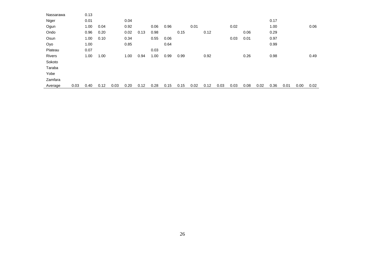| Nassarawa     |      | 0.13 |      |      |      |      |      |      |      |      |      |      |      |      |      |      |      |      |      |
|---------------|------|------|------|------|------|------|------|------|------|------|------|------|------|------|------|------|------|------|------|
| Niger         |      | 0.01 |      |      | 0.04 |      |      |      |      |      |      |      |      |      |      | 0.17 |      |      |      |
| Ogun          |      | 1.00 | 0.04 |      | 0.92 |      | 0.06 | 0.96 |      | 0.01 |      |      | 0.02 |      |      | 1.00 |      |      | 0.06 |
| Ondo          |      | 0.96 | 0.20 |      | 0.02 | 0.13 | 0.98 |      | 0.15 |      | 0.12 |      |      | 0.06 |      | 0.29 |      |      |      |
| Osun          |      | 1.00 | 0.10 |      | 0.34 |      | 0.55 | 0.06 |      |      |      |      | 0.03 | 0.01 |      | 0.97 |      |      |      |
| Oyo           |      | 1.00 |      |      | 0.85 |      |      | 0.64 |      |      |      |      |      |      |      | 0.99 |      |      |      |
| Plateau       |      | 0.07 |      |      |      |      | 0.03 |      |      |      |      |      |      |      |      |      |      |      |      |
| <b>Rivers</b> |      | 1.00 | 1.00 |      | 1.00 | 0.94 | 1.00 | 0.99 | 0.99 |      | 0.92 |      |      | 0.26 |      | 0.98 |      |      | 0.49 |
| Sokoto        |      |      |      |      |      |      |      |      |      |      |      |      |      |      |      |      |      |      |      |
| Taraba        |      |      |      |      |      |      |      |      |      |      |      |      |      |      |      |      |      |      |      |
| Yobe          |      |      |      |      |      |      |      |      |      |      |      |      |      |      |      |      |      |      |      |
| Zamfara       |      |      |      |      |      |      |      |      |      |      |      |      |      |      |      |      |      |      |      |
| Average       | 0.03 | 0.40 | 0.12 | 0.03 | 0.20 | 0.12 | 0.28 | 0.15 | 0.15 | 0.02 | 0.12 | 0.03 | 0.03 | 0.08 | 0.02 | 0.36 | 0.01 | 0.00 | 0.02 |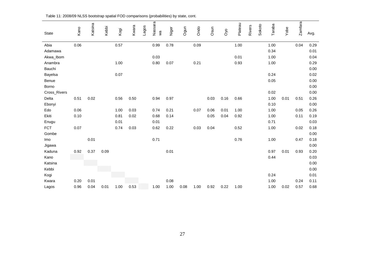|              | Kano | Katsina | Kebbi |      | Kwara | Lagos | Nassara | Niger | Ogun | Ondo | Osun |          | Plateau | <b>Rivers</b> | Sokoto | Taraba |      | Zamfara |      |
|--------------|------|---------|-------|------|-------|-------|---------|-------|------|------|------|----------|---------|---------------|--------|--------|------|---------|------|
| State        |      |         |       | Kogi |       |       | χã      |       |      |      |      | $\infty$ |         |               |        |        | Yobe |         | Avg. |
| Abia         | 0.06 |         |       | 0.57 |       |       | 0.99    | 0.78  |      | 0.09 |      |          | 1.00    |               |        | 1.00   |      | 0.04    | 0.29 |
| Adamawa      |      |         |       |      |       |       |         |       |      |      |      |          |         |               |        | 0.34   |      |         | 0.01 |
| Akwa_Ibom    |      |         |       |      |       |       | 0.03    |       |      |      |      |          | 0.01    |               |        | 1.00   |      |         | 0.04 |
| Anambra      |      |         |       | 1.00 |       |       | 0.80    | 0.07  |      | 0.21 |      |          | 0.93    |               |        | 1.00   |      |         | 0.29 |
| Bauchi       |      |         |       |      |       |       |         |       |      |      |      |          |         |               |        |        |      |         | 0.00 |
| Bayelsa      |      |         |       | 0.07 |       |       |         |       |      |      |      |          |         |               |        | 0.24   |      |         | 0.02 |
| Benue        |      |         |       |      |       |       |         |       |      |      |      |          |         |               |        | 0.05   |      |         | 0.00 |
| Borno        |      |         |       |      |       |       |         |       |      |      |      |          |         |               |        |        |      |         | 0.00 |
| Cross_Rivers |      |         |       |      |       |       |         |       |      |      |      |          |         |               |        | 0.02   |      |         | 0.00 |
| Delta        | 0.51 | 0.02    |       | 0.56 | 0.50  |       | 0.94    | 0.97  |      |      | 0.03 | 0.16     | 0.66    |               |        | 1.00   | 0.01 | 0.51    | 0.26 |
| Ebonyi       |      |         |       |      |       |       |         |       |      |      |      |          |         |               |        | 0.10   |      |         | 0.00 |
| Edo          | 0.06 |         |       | 1.00 | 0.03  |       | 0.74    | 0.21  |      | 0.07 | 0.06 | 0.01     | 1.00    |               |        | 1.00   |      | 0.05    | 0.26 |
| Ekiti        | 0.10 |         |       | 0.81 | 0.02  |       | 0.68    | 0.14  |      |      | 0.05 | 0.04     | 0.92    |               |        | 1.00   |      | 0.11    | 0.19 |
| Enugu        |      |         |       | 0.01 |       |       | 0.01    |       |      |      |      |          |         |               |        | 0.71   |      |         | 0.03 |
| <b>FCT</b>   | 0.07 |         |       | 0.74 | 0.03  |       | 0.62    | 0.22  |      | 0.03 | 0.04 |          | 0.52    |               |        | 1.00   |      | 0.02    | 0.18 |
| Gombe        |      |         |       |      |       |       |         |       |      |      |      |          |         |               |        |        |      |         | 0.00 |
| Imo          |      | 0.01    |       |      |       |       | 0.71    |       |      |      |      |          | 0.76    |               |        | 1.00   |      | 0.47    | 0.18 |
| Jigawa       |      |         |       |      |       |       |         |       |      |      |      |          |         |               |        |        |      |         | 0.00 |
| Kaduna       | 0.92 | 0.37    | 0.09  |      |       |       |         | 0.01  |      |      |      |          |         |               |        | 0.97   | 0.01 | 0.93    | 0.20 |
| Kano         |      |         |       |      |       |       |         |       |      |      |      |          |         |               |        | 0.44   |      |         | 0.03 |
| Katsina      |      |         |       |      |       |       |         |       |      |      |      |          |         |               |        |        |      |         | 0.00 |
| Kebbi        |      |         |       |      |       |       |         |       |      |      |      |          |         |               |        |        |      |         | 0.00 |
| Kogi         |      |         |       |      |       |       |         |       |      |      |      |          |         |               |        | 0.24   |      |         | 0.01 |
| Kwara        | 0.20 | 0.01    |       |      |       |       |         | 0.08  |      |      |      |          |         |               |        | 1.00   |      | 0.24    | 0.11 |
| Lagos        | 0.96 | 0.04    | 0.01  | 1.00 | 0.53  |       | 1.00    | 1.00  | 0.08 | 1.00 | 0.92 | 0.22     | 1.00    |               |        | 1.00   | 0.02 | 0.57    | 0.68 |

Table 11: 2008/09 NLSS bootstrap spatial FOD comparisons (probabilities) by state, cont.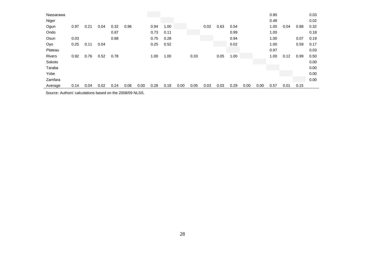| Nassarawa     |      |      |      |      |      |      |      |      |      |      |      |      |      |      |      | 0.90 |      |      | 0.03 |
|---------------|------|------|------|------|------|------|------|------|------|------|------|------|------|------|------|------|------|------|------|
| Niger         |      |      |      |      |      |      |      |      |      |      |      |      |      |      |      | 0.48 |      |      | 0.02 |
| Ogun          | 0.97 | 0.21 | 0.04 | 0.32 | 0.96 |      | 0.94 | 1.00 |      |      | 0.02 | 0.63 | 0.54 |      |      | 1.00 | 0.04 | 0.88 | 0.32 |
| Ondo          |      |      |      | 0.87 |      |      | 0.73 | 0.11 |      |      |      |      | 0.99 |      |      | 1.00 |      |      | 0.18 |
| Osun          | 0.03 |      |      | 0.88 |      |      | 0.75 | 0.28 |      |      |      |      | 0.94 |      |      | 1.00 |      | 0.07 | 0.19 |
| Oyo           | 0.25 | 0.11 | 0.04 |      |      |      | 0.25 | 0.52 |      |      |      |      | 0.02 |      |      | 1.00 |      | 0.59 | 0.17 |
| Plateau       |      |      |      |      |      |      |      |      |      |      |      |      |      |      |      | 0.97 |      |      | 0.03 |
| <b>Rivers</b> | 0.92 | 0.76 | 0.52 | 0.78 |      |      | 1.00 | 1.00 |      | 0.33 |      | 0.05 | 1.00 |      |      | 1.00 | 0.12 | 0.99 | 0.50 |
| Sokoto        |      |      |      |      |      |      |      |      |      |      |      |      |      |      |      |      |      |      | 0.00 |
| Taraba        |      |      |      |      |      |      |      |      |      |      |      |      |      |      |      |      |      |      | 0.00 |
| Yobe          |      |      |      |      |      |      |      |      |      |      |      |      |      |      |      |      |      |      | 0.00 |
| Zamfara       |      |      |      |      |      |      |      |      |      |      |      |      |      |      |      |      |      |      | 0.00 |
| Average       | 0.14 | 0.04 | 0.02 | 0.24 | 0.06 | 0.00 | 0.28 | 0.18 | 0.00 | 0.05 | 0.03 | 0.03 | 0.29 | 0.00 | 0.00 | 0.57 | 0.01 | 0.15 |      |

Source: Authors' calculations based on the 2008/09 NLSS.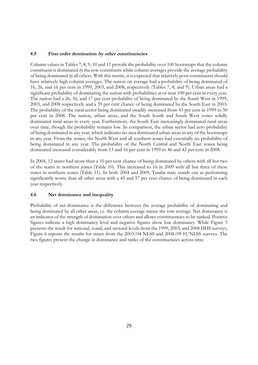# **4.5 First order domination by other constituencies**

Column values in Tables 7, 8, 9, 10 and 11 provide the probability over 100 bootstraps that the column constituent is dominated *by* the row constituent while column averages provide the average probability of being dominated *by* all others. With this metric, it is expected that relatively poor constituents should have relatively high column averages. The nation on average had a probability of being dominated of 16, 26, and 16 per cent in 1999, 2003, and 2008, respectively (Tables 7, 8, and 9). Urban areas had a significant probability of dominating the nation with probabilities at or near 100 per cent in every year. The nation had a 26, 56, and 17 per cent probability of being dominated by the South West in 1999, 2003, and 2008 respectively and a 59 per cent chance of being dominated by the South East in 2003. The probability of the rural sector being dominated steadily increased from 43 per cent in 1999 to 50 per cent in 2008. The nation, urban areas, and the South South and South West zones solidly dominated rural areas in every year. Furthermore, the South East increasingly dominated rural areas over time, though the probability remains low. In comparison, the urban sector had zero probability of being dominated in any year, which indicates no area dominated urban areas in any of the bootstraps in any year. From the zones, the North West and all southern zones had essentially no probability of being dominated in any year. The probability of the North Central and North East zones being dominated increased considerably from 13 and 16 per cent in 1999 to 46 and 42 per cent in 2008.

In 2004, 12 states had more than a 10 per cent chance of being dominated by others with all but two of the states in northern zones (Table 10). This increased to 16 in 2009 with all but three of these states in northern zones (Table 11). In both 2004 and 2009, Taraba state stands out as performing significantly worse than all other areas with a 45 and 57 per cent chance of being dominated in each year respectively.

#### **4.6 Net dominance and inequality**

Probability of net dominance is the difference between the average probability of dominating and being dominated by all other areas, i.e. the column average minus the row average. Net dominance is an indicator of the strength of domination over others and allows constituencies to be ranked. Positive figures indicate a high dominancy level and negative figures show low dominancy. While Figure 5 presents the result for national, zonal, and sectoral levels from the 1999, 2003, and 2008 DHS surveys, Figure 6 reports the results for states from the 2003/04 NLSS and 2008/09 H/NLSS surveys. The two figures present the change in dominance and ranks of the constituencies across time.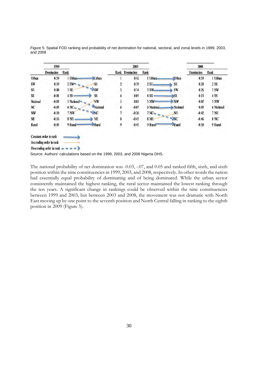|           | 1999                         |                          |               | 2003            |                               |                | 2008       |             |
|-----------|------------------------------|--------------------------|---------------|-----------------|-------------------------------|----------------|------------|-------------|
|           | Domination                   | Rank                     |               | Rank Domination | Rank                          |                | Domination | Rank        |
| Urban     | 0.59                         | 1 Urban<br><b>Urban</b>  |               | 0.42            | 1 Urban                       | <b>J</b> rban  | 0.59       | 1 Urban     |
| SW        | 0.19                         | 2SW<br>SE                | 2             | 0.39            | 2 SE-                         | SE             | 0.28       | 2 SE        |
| SE        | 0.00                         | $\Rightarrow$ sw<br>3 SE | 3             | 0.34            | 3 SW                          | SW             | 0.26       | 3 SW        |
| SS        | $-0.01$                      | SS<br>4 SS-              | 4             | 0.05            | 4 SS-                         | SS             | 0.13       | 4 SS        |
| National  | $-0.03$                      | 5 National<br><b>NW</b>  | 5             | 0.01            | 5 NW                          | NW <sub></sub> | 0.07       | 5 NW        |
| NC        | $-0.05$                      | 6N <sub>2</sub>          | National<br>6 | $-0.07$         | 6 National                    | National       | 0.05       | 6 National  |
| <b>NW</b> | $-0.10$                      | NC<br><b>7 NW</b>        | 7             | $-0.26$         | 7 <sub>N</sub> C <sub>m</sub> | NE             | $-0.42$    | <b>7 NE</b> |
| NE        | $-0.16$                      | NE<br>8 NE               | 8             | $-0.45$         | 8 NE                          | N <sub>C</sub> | $-0.46$    | 8 NC        |
| Rural     | $-0.43$                      | <b>Rural</b><br>9 Rural  | 9             | $-0.45$         | 9 Rurai                       | Rural          | $-0.50$    | 9 Rural     |
|           | Constant order in rank       |                          |               |                 |                               |                |            |             |
|           | Ascending order in rank      |                          |               |                 |                               |                |            |             |
|           | Descending order in rank $-$ |                          |               |                 |                               |                |            |             |
|           | $\sim$                       |                          |               | 1.00000000111   | $\sim$ $\sim$ $\sim$          |                |            |             |

Figure 5: Spatial FOD ranking and probability of net domination for national, sectoral, and zonal levels in 1999, 2003, and 2008

Source: Authors' calculations based on the 1999, 2003, and 2008 Nigeria DHS.

The national probability of net domination was -0.03, -.07, and 0.05 and ranked fifth, sixth, and sixth position within the nine constituencies in 1999, 2003, and 2008, respectively. In other words the nation had essentially equal probability of dominating and of being dominated. While the urban sector consistently maintained the highest ranking, the rural sector maintained the lowest ranking through the ten years. A significant change in rankings could be observed within the nine constituencies between 1999 and 2003, but between 2003 and 2008, the movement was not dramatic with North East moving up by one point to the seventh position and North Central falling in ranking to the eighth position in 2009 (Figure 5).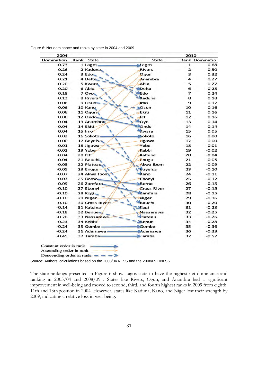| 2004       |                        |                    | 2010                    |                       |
|------------|------------------------|--------------------|-------------------------|-----------------------|
| Domination | Rank<br><b>State</b>   | State              |                         | <b>Rank Dominatio</b> |
| 0.73       | 1 Lagos.               | Lagos              | 1                       | 0.68                  |
| 0.26       | 2 Kaduna               | <b>Rivers</b>      | $\overline{\mathbf{z}}$ | 0.50                  |
| 0.24       | 3 Edo-                 | Ogun               | 3                       | 0.32                  |
| 0.21       | 4 Delta                | Anambra            | 4                       | 0.27                  |
| 0.20       | 5 Kwara                | Abia               | 5                       | 0.27                  |
| 0.20       | 6 Abia                 | Delta              | 6                       | 0.25                  |
| 0.18       | 7 Oyo                  | Edo                | $\overline{7}$          | 0.24                  |
| 0.13       | 8 Rivers               | Kaduna             | 8                       | 0.18                  |
| 0.06       | 9 Osun                 | Imo                | 9                       | 0.17                  |
| 0.06       | 10 Kano                | Osun               | 10                      | 0.16                  |
| 0.06       | 11 Ogun                | Ekiti              | 11                      | 0.16                  |
| 0.06       | 12 Ondo                | fct                | 12                      | 0.16                  |
| 0.04       | 13 Anambra             | Oyo                | 13                      | 0.14                  |
| 0.04       | 14 Ekiti-              | Ondo               | 14                      | 0.14                  |
| 0.04       | 15 Imo                 | Kwara              | 15                      | 0.05                  |
| 0.02       | 16 Sokoto              | Sokoto             | 16                      | 0.00                  |
| 0.00       | 17 Bayelsa             | <b>Jigawa</b>      | 17                      | 0.00                  |
| $-0.01$    | 18 Jigawa              | Yobe               | 18                      | $-0.01$               |
| $-0.02$    | 19 Yobe                | Kebbi              | 19                      | $-0.02$               |
| $-0.04$    | $20$ fct               | Katsina            | 20                      | $-0.04$               |
| $-0.04$    | 21 Bauchi              | Enugu              | 21                      | $-0.05$               |
| $-0.05$    | 22 Plateau             | Akwa Ibom          | 22                      | $-0.09$               |
| $-0.05$    | 23 Enugu               | bayelsa            | 23                      | $-0.10$               |
| $-0.07$    | 24 Akwa Ibom           | Kano               | 24                      | $-0.11$               |
| $-0.07$    | 25 Borno               | Ebonyi             | 25                      | $-0.12$               |
| $-0.09$    | 26 Zamfara             | <b>Borno</b>       | 26                      | $-0.15$               |
| $-0.10$    | 27 Ebonyi              | <b>Cross River</b> | 27                      | $-0.15$               |
| $-0.10$    | 28 Kogi                | Zamfara            | 28                      | $-0.15$               |
| $-0.10$    | 29 Niger               | Niger              | 29                      | $-0.16$               |
| $-0.10$    | <b>30 Cross Rivers</b> | <b>Bauchi</b>      | 30                      | $-0.20$               |
| $-0.14$    | 31 Katsina             | Kogi               | 31                      | $-0.23$               |
| $-0.18$    | 32 Benue-              | Nassarawa          | 32                      | $-0.25$               |
| $-0.20$    | 33 Nassarawa           | Plateau            | 33                      | $-0.26$               |
| $-0.23$    | 34 Kebbi               | <b>Benue</b>       | 34                      | $-0.28$               |
| $-0.24$    | 35 Gombe-              | <b>Sombe</b>       | 35                      | $-0.36$               |
| $-0.24$    | 36 Adamawa             | Adamawa            | 36                      | $-0.39$               |
|            | 37 Taraba              | Taraba             | 37                      | $-0.57$               |

Figure 6: Net dominance and ranks by state in 2004 and 2009

Source: Authors' calculations based on the 2003/04 NLSS and the 2008/09 HNLSS.

Descending order in rank  $\frac{1}{2}$  = =  $\frac{1}{2}$ 

The state rankings presented in Figure 6 show Lagos state to have the highest net dominance and ranking in 2003/04 and 2008/09 . States like Rivers, Ogun, and Anambra had a significant improvement in well-being and moved to second, third, and fourth highest ranks in 2009 from eighth, 11th and 13th position in 2004. However, states like Kaduna, Kano, and Niger lost their strength by 2009, indicating a relative loss in well-being.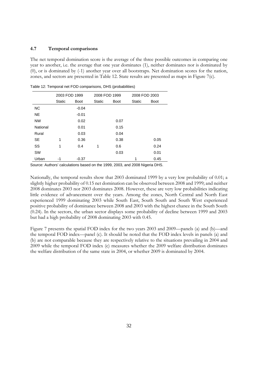#### **4.7 Temporal comparisons**

The net temporal domination score is the average of the three possible outcomes in comparing one year to another, i.e. the average that one year dominates (1), neither dominates nor is dominated by (0), or is dominated by (-1) another year over all bootstraps. Net domination scores for the nation, zones, and sectors are presented in Table 12. State results are presented as maps in Figure 7(c).

|           | 2003 FOD 1999 |             | 2008 FOD 1999 |             | 2008 FOD 2003 |             |
|-----------|---------------|-------------|---------------|-------------|---------------|-------------|
|           | Static        | <b>Boot</b> | Static        | <b>Boot</b> | <b>Static</b> | <b>Boot</b> |
| <b>NC</b> |               | $-0.04$     |               |             |               |             |
| <b>NE</b> |               | $-0.01$     |               |             |               |             |
| <b>NW</b> |               | 0.02        |               | 0.07        |               |             |
| National  |               | 0.01        |               | 0.15        |               |             |
| Rural     |               | 0.03        |               | 0.04        |               |             |
| SE.       | 1             | 0.36        |               | 0.38        |               | 0.05        |
| SS        | 1             | 0.4         | 1             | 0.6         |               | 0.24        |
| <b>SW</b> |               |             |               | 0.03        |               | 0.01        |
| Urban     | -1            | $-0.37$     |               |             | 1             | 0.45        |

Table 12: Temporal net FOD comparisons, DHS (probabilities)

Source: Authors' calculations based on the 1999, 2003, and 2008 Nigeria DHS.

Nationally, the temporal results show that 2003 dominated 1999 by a very low probability of 0.01; a slightly higher probability of 0.15 net domination can be observed between 2008 and 1999; and neither 2008 dominates 2003 nor 2003 dominates 2008. However, these are very low probabilities indicating little evidence of advancement over the years. Among the zones, North Central and North East experienced 1999 dominating 2003 while South East, South South and South West experienced positive probability of dominance between 2008 and 2003 with the highest chance in the South South (0.24). In the sectors, the urban sector displays some probability of decline between 1999 and 2003 but had a high probability of 2008 dominating 2003 with 0.45.

Figure 7 presents the spatial FOD index for the two years 2003 and 2009—panels (a) and (b)—and the temporal FOD index—panel (c). It should be noted that the FOD index levels in panels (a) and (b) are not comparable because they are respectively relative to the situations prevailing in 2004 and 2009 while the temporal FOD index (c) measures whether the 2009 welfare distribution dominates the welfare distribution of the same state in 2004, or whether 2009 is dominated by 2004.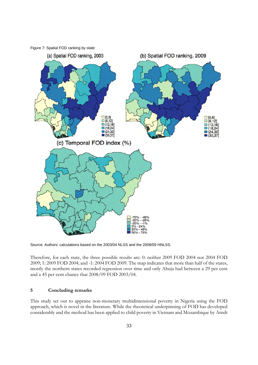

Source: Authors' calculations based on the 2003/04 NLSS and the 2008/09 HNLSS.

Therefore, for each state, the three possible results are: 0: neither 2009 FOD 2004 nor 2004 FOD 2009; 1: 2009 FOD 2004; and -1: 2004 FOD 2009. The map indicates that more than half of the states, mostly the northern states recorded regression over time and only Abuja had between a 29 per cent and a 45 per cent chance that 2008/09 FOD 2003/04.

#### **5 Concluding remarks**

This study set out to appraise non-monetary multidimensional poverty in Nigeria using the FOD approach, which is novel in the literature. While the theoretical underpinning of FOD has developed considerably and the method has been applied to child poverty in Vietnam and Mozambique by Arndt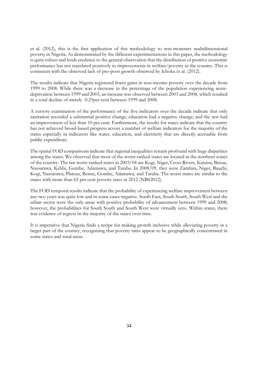et al. (2012), this is the first application of this methodology to non-monetary multidimensional poverty in Nigeria. As demonstrated by the different experimentations in this paper, the methodology is quite robust and lends credence to the general observation that the distribution of positive economic performance has not translated positively to improvements in welfare/poverty in the country. This is consistent with the observed lack of pro-poor growth observed by Ichoku et al. (2012).

The results indicate that Nigeria registered fewer gains in non-income poverty over the decade from 1999 to 2008. While there was a decrease in the percentage of the population experiencing acutedeprivation between 1999 and 2003, an increase was observed between 2003 and 2008, which resulted in a total decline of merely -0.25per cent between 1999 and 2008.

A cursory examination of the performance of the five indicators over the decade indicate that only sanitation recorded a substantial positive change; education had a negative change; and the rest had an improvement of less than 10 per cent. Furthermore, the results for states indicate that the country has not achieved broad-based progress across a number of welfare indicators for the majority of the states especially in indicators like water, education, and electricity that are directly accruable from public expenditure.

The spatial FOD comparisons indicate that regional inequalities remain profound with huge disparities among the states. We observed that most of the worst-ranked states are located in the northern zones of the country. The ten worst-ranked states in 2003/04 are Kogi, Niger, Cross Rivers, Katsina, Benue, Nassarawa, Kebbi, Gombe, Adamawa, and Taraba. In 2008/09, they were Zamfara, Niger, Bauchi, Kogi, Nassarawa, Plateau, Benue, Gombe, Adamawa, and Taraba. The worst states are similar to the states with more than 65 per cent poverty rates in 2012 (NBS2012).

The FOD temporal results indicate that the probability of experiencing welfare improvement between any two years was quite low and in some cases negative. South East, South South, South West and the urban sector were the only areas with positive probability of advancement between 1999 and 2008; however, the probabilities for South South and South West were virtually zero. Within states, there was evidence of regress in the majority of the states over time.

It is imperative that Nigeria finds a recipe for making growth inclusive while alleviating poverty in a larger part of the country, recognizing that poverty rates appear to be geographically concentrated in some states and rural areas.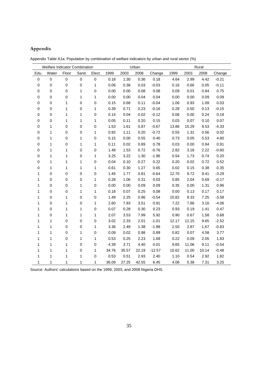# **Appendix**

|             | Welfare Indicator Combination |             |              |             |       |       | Urban |          |       |       | Rural |         |
|-------------|-------------------------------|-------------|--------------|-------------|-------|-------|-------|----------|-------|-------|-------|---------|
| Edu.        | Water                         | Floor       | Sanit.       | Elect.      | 1999  | 2003  | 2008  | Change   | 1999  | 2003  | 2008  | Change  |
| $\mathsf 0$ | $\mathsf 0$                   | $\pmb{0}$   | $\mathbf 0$  | $\pmb{0}$   | 0.18  | 1.30  | 0.36  | 0.18     | 4.64  | 2.99  | 4.42  | $-0.21$ |
| $\pmb{0}$   | $\boldsymbol{0}$              | $\mathbf 0$ | $\mathbf 0$  | 1           | 0.06  | 0.38  | 0.03  | $-0.03$  | 0.16  | 0.66  | 0.05  | $-0.11$ |
| $\pmb{0}$   | $\mathbf 0$                   | 0           | 1            | $\mathbf 0$ | 0.00  | 0.00  | 0.08  | 0.08     | 0.09  | 0.01  | 0.84  | 0.75    |
| 0           | $\boldsymbol{0}$              | 0           | $\mathbf{1}$ | 1           | 0.00  | 0.00  | 0.04  | 0.04     | 0.00  | 0.00  | 0.09  | 0.09    |
| $\pmb{0}$   | $\mathbf 0$                   | 1           | $\mathbf 0$  | $\mathbf 0$ | 0.15  | 0.68  | 0.11  | $-0.04$  | 1.06  | 0.93  | 1.09  | 0.03    |
| $\pmb{0}$   | $\mathbf 0$                   | 1           | $\mathbf 0$  | 1           | 0.39  | 0.71  | 0.23  | $-0.16$  | 0.28  | 0.50  | 0.13  | $-0.15$ |
| $\pmb{0}$   | $\pmb{0}$                     | 1           | 1            | 0           | 0.14  | 0.04  | 0.02  | $-0.12$  | 0.06  | 0.00  | 0.24  | 0.18    |
| $\pmb{0}$   | $\mathbf 0$                   | 1           | 1            | 1           | 0.05  | 0.11  | 0.20  | 0.15     | 0.03  | 0.07  | 0.10  | 0.07    |
| 0           | 1                             | 0           | $\mathbf 0$  | $\mathbf 0$ | 1.53  | 1.61  | 0.87  | $-0.67$  | 13.86 | 15.29 | 9.53  | $-4.33$ |
| $\pmb{0}$   | 1                             | $\mathsf 0$ | $\mathbf 0$  | 1           | 0.92  | 1.11  | 0.20  | $-0.72$  | 0.55  | 1.31  | 0.56  | 0.02    |
| $\pmb{0}$   | 1                             | $\mathsf 0$ | $\mathbf{1}$ | 0           | 0.15  | 0.00  | 0.55  | 0.40     | 0.73  | 0.05  | 5.53  | 4.80    |
| $\pmb{0}$   | 1                             | 0           | 1            | 1           | 0.11  | 0.02  | 0.89  | 0.78     | 0.03  | 0.00  | 0.94  | 0.91    |
| $\pmb{0}$   | $\mathbf{1}$                  | 1           | $\mathbf 0$  | $\mathbf 0$ | 1.48  | 1.53  | 0.72  | $-0.76$  | 2.82  | 3.18  | 2.22  | $-0.60$ |
| 0           | 1                             | 1           | $\mathbf 0$  | 1           | 3.25  | 3.22  | 1.30  | $-1.96$  | 0.54  | 1.73  | 0.74  | 0.20    |
| $\pmb{0}$   | 1                             | 1           | 1            | $\mathbf 0$ | 0.04  | 0.10  | 0.27  | 0.22     | 0.20  | 0.02  | 0.72  | 0.52    |
| 0           | 1                             | 1           | $\mathbf{1}$ | 1           | 0.61  | 0.30  | 1.27  | 0.65     | 0.02  | 0.15  | 0.38  | 0.35    |
| 1           | $\boldsymbol{0}$              | 0           | $\mathbf 0$  | 0           | 1.45  | 1.77  | 0.81  | $-0.64$  | 12.70 | 9.72  | 9.41  | $-3.29$ |
| 1           | $\mathbf 0$                   | 0           | $\mathbf 0$  | 1           | 0.28  | 1.06  | 0.31  | 0.03     | 0.85  | 2.04  | 0.69  | $-0.17$ |
| 1           | $\boldsymbol{0}$              | 0           | 1            | $\mathbf 0$ | 0.00  | 0.00  | 0.09  | 0.09     | 0.35  | 0.00  | 1.31  | 0.96    |
| 1           | $\boldsymbol{0}$              | $\mathbf 0$ | $\mathbf{1}$ | 1           | 0.18  | 0.07  | 0.25  | 0.08     | 0.00  | 0.13  | 0.17  | 0.17    |
| 1           | $\mathbf 0$                   | 1           | $\mathbf 0$  | 0           | 1.49  | 2.25  | 0.96  | $-0.54$  | 10.82 | 9.33  | 7.25  | $-3.58$ |
| 1           | $\boldsymbol{0}$              | 1           | $\mathbf 0$  | 1           | 2.60  | 7.83  | 3.51  | 0.91     | 7.22  | 7.86  | 3.16  | $-4.06$ |
| 1           | $\mathbf 0$                   | 1           | 1            | $\mathbf 0$ | 0.07  | 0.28  | 0.30  | 0.23     | 0.93  | 0.19  | 1.41  | 0.47    |
| 1           | $\mathbf 0$                   | 1           | $\mathbf{1}$ | 1           | 2.07  | 3.53  | 7.99  | 5.92     | 0.90  | 0.67  | 1.58  | 0.68    |
| 1           | 1                             | $\mathsf 0$ | $\mathbf 0$  | $\mathbf 0$ | 3.02  | 2.33  | 2.01  | $-1.01$  | 12.17 | 12.15 | 9.65  | $-2.52$ |
| 1           | 1                             | $\mathsf 0$ | $\mathbf 0$  | 1           | 3.36  | 2.49  | 1.38  | $-1.98$  | 2.50  | 2.87  | 1.67  | $-0.83$ |
| 1           | 1                             | 0           | 1            | 0           | 0.09  | 0.02  | 0.98  | 0.89     | 0.82  | 0.07  | 4.58  | 3.77    |
| 1           | 1                             | $\mathsf 0$ | 1            | 1           | 0.53  | 0.25  | 2.23  | 1.69     | 0.22  | 0.09  | 2.05  | 1.83    |
| 1           | 1                             | 1           | $\pmb{0}$    | $\mathbf 0$ | 4.39  | 3.71  | 4.40  | 0.01     | 9.65  | 11.06 | 9.11  | $-0.54$ |
| 1           | 1                             | 1           | $\pmb{0}$    | 1           | 34.76 | 35.57 | 22.19 | $-12.57$ | 10.62 | 11.00 | 10.14 | $-0.48$ |
| 1           | 1                             | 1           | $\mathbf 1$  | 0           | 0.53  | 0.51  | 2.93  | 2.40     | 1.10  | 0.54  | 2.92  | 1.82    |
| 1           | 1                             | 1           | 1            | 1           | 36.09 | 27.25 | 42.55 | 6.45     | 4.06  | 5.38  | 7.31  | 3.25    |

Appendix Table A1a: Population by combination of welfare indicators by urban and rural sector (%)

Source: Authors' calculations based on the 1999, 2003, and 2008 Nigeria DHS.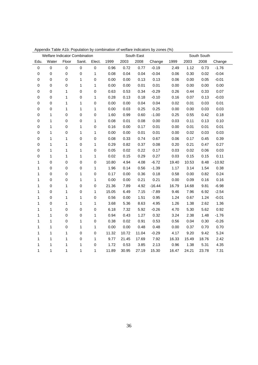|              | Welfare Indicator Combination |             |             |              |       |       | South East |          |       |       | South South |          |
|--------------|-------------------------------|-------------|-------------|--------------|-------|-------|------------|----------|-------|-------|-------------|----------|
| Edu.         | Water                         | Floor       | Sanit.      | Elect.       | 1999  | 2003  | 2008       | Change   | 1999  | 2003  | 2008        | Change   |
| $\pmb{0}$    | $\mathsf 0$                   | $\pmb{0}$   | $\mathbf 0$ | $\pmb{0}$    | 0.96  | 0.72  | 0.77       | $-0.19$  | 2.49  | 1.12  | 0.73        | $-1.76$  |
| $\pmb{0}$    | $\mathbf 0$                   | $\mathbf 0$ | $\pmb{0}$   | $\mathbf 1$  | 0.08  | 0.04  | 0.04       | $-0.04$  | 0.06  | 0.30  | 0.02        | $-0.04$  |
| $\mathbf 0$  | $\mathbf 0$                   | $\mathbf 0$ | 1           | $\pmb{0}$    | 0.00  | 0.00  | 0.13       | 0.13     | 0.06  | 0.00  | 0.05        | $-0.01$  |
| $\pmb{0}$    | $\pmb{0}$                     | 0           | 1           | 1            | 0.00  | 0.00  | 0.01       | 0.01     | 0.00  | 0.00  | 0.00        | 0.00     |
| $\pmb{0}$    | $\mathbf 0$                   | 1           | $\mathbf 0$ | $\pmb{0}$    | 0.63  | 0.53  | 0.34       | $-0.29$  | 0.26  | 0.44  | 0.33        | 0.07     |
| $\pmb{0}$    | $\mathbf 0$                   | 1           | $\mathbf 0$ | 1            | 0.28  | 0.13  | 0.18       | $-0.10$  | 0.16  | 0.07  | 0.13        | $-0.03$  |
| $\pmb{0}$    | $\pmb{0}$                     | 1           | 1           | $\mathbf 0$  | 0.00  | 0.00  | 0.04       | 0.04     | 0.02  | 0.01  | 0.03        | 0.01     |
| $\mathbf 0$  | $\mathbf 0$                   | 1           | 1           | $\mathbf 1$  | 0.00  | 0.03  | 0.25       | 0.25     | 0.00  | 0.00  | 0.03        | 0.03     |
| $\pmb{0}$    | 1                             | 0           | $\mathbf 0$ | $\pmb{0}$    | 1.60  | 0.99  | 0.60       | $-1.00$  | 0.25  | 0.55  | 0.42        | 0.18     |
| $\pmb{0}$    | 1                             | 0           | $\mathbf 0$ | 1            | 0.08  | 0.01  | 0.08       | 0.00     | 0.03  | 0.11  | 0.13        | 0.10     |
| $\pmb{0}$    | 1                             | 0           | 1           | $\pmb{0}$    | 0.16  | 0.00  | 0.17       | 0.01     | 0.00  | 0.01  | 0.01        | 0.01     |
| $\pmb{0}$    | 1                             | 0           | 1           | $\mathbf 1$  | 0.00  | 0.00  | 0.01       | 0.01     | 0.00  | 0.02  | 0.03        | 0.03     |
| $\pmb{0}$    | $\mathbf 1$                   | $\mathbf 1$ | $\pmb{0}$   | $\mathbf 0$  | 0.08  | 0.33  | 0.74       | 0.67     | 0.06  | 0.17  | 0.45        | 0.39     |
| $\pmb{0}$    | $\mathbf 1$                   | 1           | $\mathbf 0$ | 1            | 0.29  | 0.82  | 0.37       | 0.08     | 0.20  | 0.21  | 0.47        | 0.27     |
| $\pmb{0}$    | 1                             | 1           | 1           | $\mathbf 0$  | 0.05  | 0.02  | 0.22       | 0.17     | 0.03  | 0.02  | 0.06        | 0.03     |
| $\pmb{0}$    | 1                             | 1           | 1           | 1            | 0.02  | 0.15  | 0.29       | 0.27     | 0.03  | 0.15  | 0.15        | 0.11     |
| $\mathbf{1}$ | $\mathbf 0$                   | 0           | $\mathbf 0$ | $\pmb{0}$    | 10.80 | 4.94  | 4.08       | $-6.72$  | 19.40 | 10.53 | 8.48        | $-10.92$ |
| 1            | $\mathbf 0$                   | 0           | $\mathbf 0$ | $\mathbf{1}$ | 1.96  | 0.14  | 0.56       | $-1.39$  | 1.17  | 3.14  | 1.54        | 0.38     |
| 1            | $\mathbf 0$                   | 0           | 1           | $\pmb{0}$    | 0.17  | 0.00  | 0.36       | 0.18     | 0.58  | 0.00  | 0.82        | 0.24     |
| $\mathbf{1}$ | $\mathbf 0$                   | 0           | 1           | 1            | 0.00  | 0.00  | 0.21       | 0.21     | 0.00  | 0.09  | 0.16        | 0.16     |
| 1            | $\mathbf 0$                   | 1           | $\mathbf 0$ | $\pmb{0}$    | 21.36 | 7.89  | 4.92       | $-16.44$ | 16.79 | 14.68 | 9.81        | $-6.98$  |
| 1            | $\mathbf 0$                   | 1           | $\mathbf 0$ | 1            | 15.05 | 6.49  | 7.15       | $-7.89$  | 9.46  | 7.96  | 6.92        | $-2.54$  |
| $\mathbf{1}$ | $\mathbf 0$                   | 1           | 1           | $\mathbf 0$  | 0.56  | 0.00  | 1.51       | 0.95     | 1.24  | 0.67  | 1.24        | $-0.01$  |
| 1            | $\mathbf 0$                   | 1           | 1           | 1            | 3.68  | 5.36  | 8.63       | 4.95     | 1.26  | 1.38  | 2.62        | 1.36     |
| $\mathbf 1$  | 1                             | $\mathbf 0$ | $\pmb{0}$   | $\pmb{0}$    | 6.18  | 7.32  | 5.92       | $-0.26$  | 4.70  | 5.30  | 5.62        | 0.92     |
| 1            | 1                             | 0           | $\mathbf 0$ | 1            | 0.94  | 0.43  | 1.27       | 0.32     | 3.24  | 2.38  | 1.48        | $-1.76$  |
| 1            | 1                             | 0           | 1           | $\pmb{0}$    | 0.38  | 0.02  | 0.91       | 0.53     | 0.56  | 0.04  | 0.30        | $-0.26$  |
| 1            | 1                             | 0           | 1           | $\mathbf 1$  | 0.00  | 0.00  | 0.48       | 0.48     | 0.00  | 0.37  | 0.70        | 0.70     |
| 1            | 1                             | 1           | $\mathbf 0$ | $\mathbf 0$  | 11.32 | 10.72 | 11.04      | $-0.29$  | 4.17  | 9.20  | 9.42        | 5.24     |
| 1            | 1                             | 1           | $\mathbf 0$ | 1            | 9.77  | 21.45 | 17.69      | 7.92     | 16.33 | 15.49 | 18.76       | 2.42     |
| 1            | 1                             | 1           | 1           | $\mathbf 0$  | 1.72  | 0.53  | 3.85       | 2.13     | 0.96  | 1.38  | 5.31        | 4.35     |
| 1            | 1                             | 1           | 1           | 1            | 11.89 | 30.95 | 27.19      | 15.30    | 16.47 | 24.21 | 23.78       | 7.31     |

Appendix Table A1b: Population by combination of welfare indicators by zones (%)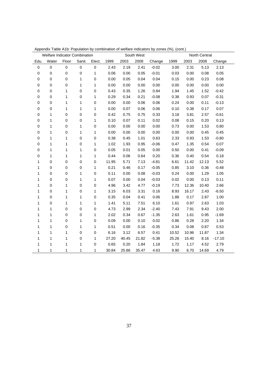|             | Welfare Indicator Combination |             |             |             |       |       | South West |         |       |       | North Central |          |
|-------------|-------------------------------|-------------|-------------|-------------|-------|-------|------------|---------|-------|-------|---------------|----------|
| Edu.        | Water                         | Floor       | Sanit.      | Elect.      | 1999  | 2003  | 2008       | Change  | 1999  | 2003  | 2008          | Change   |
| $\mathsf 0$ | $\mbox{O}$                    | $\mathbf 0$ | $\mathbf 0$ | $\mathbf 0$ | 2.43  | 2.19  | 2.41       | $-0.02$ | 3.00  | 2.31  | 5.13          | 2.13     |
| $\pmb{0}$   | $\mathbf 0$                   | $\mathbf 0$ | $\mathbf 0$ | 1           | 0.06  | 0.00  | 0.05       | $-0.01$ | 0.03  | 0.00  | 0.08          | 0.05     |
| 0           | $\mathbf 0$                   | 0           | 1           | $\pmb{0}$   | 0.00  | 0.05  | 0.04       | 0.04    | 0.15  | 0.00  | 0.23          | 0.08     |
| 0           | 0                             | 0           | 1           | 1           | 0.00  | 0.00  | 0.00       | 0.00    | 0.00  | 0.00  | 0.00          | 0.00     |
| 0           | 0                             | 1           | $\pmb{0}$   | $\mathbf 0$ | 0.43  | 0.35  | 1.26       | 0.84    | 1.94  | 1.45  | 1.52          | $-0.42$  |
| 0           | 0                             | 1           | 0           | 1           | 0.29  | 0.34  | 0.21       | $-0.08$ | 0.38  | 0.93  | 0.07          | $-0.31$  |
| 0           | 0                             | 1           | 1           | $\mathbf 0$ | 0.00  | 0.00  | 0.06       | 0.06    | 0.24  | 0.00  | 0.11          | $-0.13$  |
| $\mathbf 0$ | 0                             | 1           | 1           | 1           | 0.00  | 0.07  | 0.06       | 0.06    | 0.10  | 0.38  | 0.17          | 0.07     |
| 0           | 1                             | 0           | 0           | $\mathbf 0$ | 0.42  | 0.75  | 0.75       | 0.33    | 3.18  | 3.81  | 2.57          | $-0.61$  |
| 0           | 1                             | 0           | 0           | 1           | 0.10  | 0.07  | 0.11       | 0.02    | 0.08  | 0.15  | 0.20          | 0.13     |
| 0           | 1                             | 0           | 1           | $\pmb{0}$   | 0.00  | 0.00  | 0.00       | 0.00    | 0.73  | 0.00  | 1.53          | 0.80     |
| 0           | 1                             | 0           | 1           | 1           | 0.00  | 0.00  | 0.00       | 0.00    | 0.00  | 0.00  | 0.45          | 0.45     |
| $\mathbf 0$ | 1                             | 1           | $\mathbf 0$ | $\mathbf 0$ | 0.38  | 0.45  | 1.01       | 0.63    | 2.33  | 0.93  | 1.53          | $-0.80$  |
| 0           | 1                             | 1           | 0           | 1           | 1.02  | 1.93  | 0.95       | $-0.06$ | 0.47  | 1.35  | 0.54          | 0.07     |
| 0           | 1                             | 1           | 1           | $\mathbf 0$ | 0.05  | 0.01  | 0.05       | 0.00    | 0.50  | 0.00  | 0.41          | $-0.09$  |
| 0           | 1                             | 1           | 1           | 1           | 0.44  | 0.06  | 0.64       | 0.20    | 0.36  | 0.40  | 0.54          | 0.18     |
| 1           | 0                             | 0           | 0           | $\pmb{0}$   | 11.95 | 5.71  | 7.13       | $-4.81$ | 6.61  | 11.42 | 12.13         | 5.52     |
| 1           | 0                             | 0           | 0           | $\mathbf 1$ | 0.21  | 0.46  | 0.17       | $-0.05$ | 0.85  | 3.10  | 0.36          | $-0.48$  |
| 1           | 0                             | 0           | 1           | $\mathbf 0$ | 0.11  | 0.00  | 0.08       | $-0.03$ | 0.24  | 0.00  | 1.29          | 1.05     |
| 1           | 0                             | 0           | 1           | 1           | 0.07  | 0.00  | 0.04       | $-0.03$ | 0.02  | 0.00  | 0.13          | 0.11     |
| 1           | 0                             | 1           | $\mathbf 0$ | $\pmb{0}$   | 4.96  | 3.42  | 4.77       | $-0.19$ | 7.73  | 12.36 | 10.40         | 2.66     |
| 1           | 0                             | 1           | $\mathbf 0$ | 1           | 3.15  | 6.03  | 3.31       | 0.16    | 8.93  | 16.17 | 2.43          | $-6.50$  |
| 1           | 0                             | 1           | 1           | $\mathbf 0$ | 0.35  | 0.04  | 0.41       | 0.06    | 1.88  | 0.17  | 2.87          | 1.00     |
| 1           | 0                             | 1           | 1           | $\mathbf 1$ | 1.41  | 5.11  | 7.51       | 6.10    | 1.61  | 0.97  | 2.63          | 1.03     |
| 1           | 1                             | 0           | 0           | $\mathbf 0$ | 4.73  | 2.99  | 2.34       | $-2.40$ | 7.43  | 7.91  | 9.43          | 2.00     |
| 1           | 1                             | 0           | $\mathbf 0$ | 1           | 2.02  | 0.34  | 0.67       | $-1.35$ | 2.63  | 1.61  | 0.95          | $-1.69$  |
| 1           | 1                             | $\mathbf 0$ | 1           | $\pmb{0}$   | 0.09  | 0.00  | 0.10       | 0.02    | 0.86  | 0.28  | 2.20          | 1.34     |
| 1           | 1                             | 0           | 1           | 1           | 0.51  | 0.00  | 0.16       | $-0.35$ | 0.34  | 0.08  | 0.87          | 0.53     |
| 1           | 1                             | 1           | $\mathbf 0$ | $\mathbf 0$ | 6.16  | 3.12  | 6.57       | 0.41    | 10.52 | 10.96 | 11.87         | 1.34     |
| 1           | 1                             | 1           | $\pmb{0}$   | 1           | 27.20 | 40.45 | 21.82      | $-5.38$ | 25.26 | 15.40 | 8.16          | $-17.10$ |
| 1           | 1                             | 1           | 1           | $\mathbf 0$ | 0.65  | 0.20  | 1.84       | 1.18    | 1.72  | 1.17  | 4.52          | 2.79     |
| 1           | 1                             | 1           | 1           | 1           | 30.84 | 25.86 | 35.47      | 4.63    | 9.90  | 6.70  | 14.69         | 4.79     |

Appendix Table A1b: Population by combination of welfare indicators by zones (%), (cont.)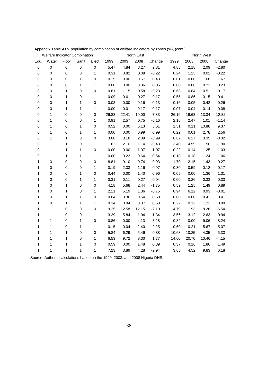|             | Welfare Indicator Combination |             |                  |                  |       |       | North East |         |       |       | North West |          |
|-------------|-------------------------------|-------------|------------------|------------------|-------|-------|------------|---------|-------|-------|------------|----------|
| Edu.        | Water                         | Floor       | Sanit.           | Elect.           | 1999  | 2003  | 2008       | Change  | 1999  | 2003  | 2008       | Change   |
| $\mathbf 0$ | $\mathbf 0$                   | $\mathbf 0$ | $\mathbf 0$      | $\mathsf 0$      | 5.47  | 4.84  | 8.27       | 2.81    | 4.88  | 2.18  | 2.09       | $-2.80$  |
| $\pmb{0}$   | $\mathbf 0$                   | $\pmb{0}$   | $\mathbf 0$      | $\mathbf{1}$     | 0.31  | 0.82  | 0.09       | $-0.22$ | 0.24  | 1.25  | 0.02       | $-0.22$  |
| 0           | $\boldsymbol{0}$              | 0           | 1                | $\pmb{0}$        | 0.19  | 0.00  | 0.67       | 0.48    | 0.01  | 0.00  | 1.68       | 1.67     |
| 0           | $\mathbf 0$                   | 0           | 1                | $\mathbf{1}$     | 0.00  | 0.00  | 0.06       | 0.06    | 0.00  | 0.00  | 0.23       | 0.23     |
| 0           | $\mathbf 0$                   | 1           | $\boldsymbol{0}$ | $\boldsymbol{0}$ | 0.81  | 1.15  | 0.58       | $-0.23$ | 0.68  | 0.84  | 0.51       | $-0.17$  |
| 0           | $\boldsymbol{0}$              | 1           | 0                | 1                | 0.09  | 0.61  | 0.27       | 0.17    | 0.55  | 0.86  | 0.15       | $-0.41$  |
| 0           | $\mathbf 0$                   | 1           | 1                | $\mathbf 0$      | 0.03  | 0.00  | 0.16       | 0.13    | 0.16  | 0.05  | 0.42       | 0.26     |
| 0           | $\boldsymbol{0}$              | 1           | 1                | 1                | 0.00  | 0.01  | 0.17       | 0.17    | 0.07  | 0.04  | 0.14       | 0.08     |
| 0           | 1                             | 0           | 0                | $\mathbf 0$      | 26.83 | 22.41 | 19.00      | $-7.83$ | 26.16 | 19.63 | 13.34      | $-12.82$ |
| 0           | 1                             | 0           | $\pmb{0}$        | 1                | 0.91  | 2.57  | 0.75       | $-0.16$ | 2.16  | 2.47  | 1.01       | $-1.14$  |
| 0           | 1                             | 0           | 1                | $\mathbf 0$      | 0.52  | 0.00  | 6.13       | 5.61    | 1.51  | 0.11  | 10.88      | 9.37     |
| 0           | 1                             | 0           | 1                | 1                | 0.00  | 0.00  | 0.99       | 0.99    | 0.22  | 0.01  | 2.78       | 2.56     |
| 0           | 1                             | 1           | $\mathbf 0$      | $\mathbf 0$      | 3.08  | 3.18  | 2.09       | $-0.99$ | 6.67  | 6.27  | 3.35       | $-3.32$  |
| 0           | 1                             | 1           | $\mathbf 0$      | 1                | 1.62  | 2.10  | 1.14       | $-0.48$ | 3.40  | 4.59  | 1.50       | $-1.90$  |
| 0           | 1                             | 1           | $\mathbf{1}$     | $\mathbf 0$      | 0.00  | 0.00  | 1.07       | 1.07    | 0.22  | 0.14  | 1.25       | 1.03     |
| 0           | 1                             | 1           | $\mathbf{1}$     | $\mathbf{1}$     | 0.00  | 0.23  | 0.64       | 0.64    | 0.18  | 0.18  | 1.24       | 1.06     |
| 1           | $\boldsymbol{0}$              | 0           | $\pmb{0}$        | $\pmb{0}$        | 8.81  | 9.10  | 9.74       | 0.93    | 1.70  | 2.15  | 1.43       | $-0.27$  |
| 1           | 0                             | 0           | 0                | 1                | 0.19  | 2.33  | 1.16       | 0.97    | 0.30  | 0.59  | 0.12       | $-0.17$  |
| 1           | $\mathbf 0$                   | 0           | 1                | $\boldsymbol{0}$ | 0.44  | 0.00  | 1.40       | 0.96    | 0.05  | 0.00  | 1.36       | 1.31     |
| 1           | $\mathbf 0$                   | 0           | 1                | 1                | 0.31  | 0.11  | 0.27       | $-0.04$ | 0.00  | 0.26  | 0.33       | 0.33     |
| 1           | $\mathbf 0$                   | 1           | $\mathbf 0$      | $\mathbf 0$      | 4.18  | 5.68  | 2.44       | $-1.75$ | 0.59  | 1.25  | 1.49       | 0.89     |
| 1           | $\mathbf 0$                   | 1           | $\mathbf 0$      | 1                | 2.11  | 5.19  | 1.36       | $-0.75$ | 0.94  | 6.12  | 0.93       | $-0.01$  |
| 1           | $\mathbf 0$                   | 1           | $\mathbf{1}$     | $\mathbf 0$      | 0.04  | 0.36  | 0.54       | 0.50    | 0.00  | 0.00  | 0.41       | 0.41     |
| 1           | $\boldsymbol{0}$              | 1           | 1                | 1                | 0.34  | 0.94  | 0.87       | 0.53    | 0.22  | 0.12  | 1.21       | 0.99     |
| 1           | 1                             | 0           | $\boldsymbol{0}$ | $\boldsymbol{0}$ | 19.25 | 12.58 | 12.15      | $-7.10$ | 14.79 | 11.93 | 8.26       | $-6.54$  |
| 1           | 1                             | 0           | 0                | 1                | 3.29  | 5.84  | 1.94       | $-1.34$ | 3.56  | 3.12  | 2.63       | $-0.94$  |
| 1           | 1                             | 0           | 1                | $\mathbf 0$      | 0.86  | 0.00  | 4.13       | 3.28    | 0.82  | 0.00  | 9.06       | 8.24     |
| 1           | 1                             | 0           | 1                | 1                | 0.15  | 0.04  | 2.40       | 2.25    | 0.60  | 0.21  | 5.67       | 5.07     |
| 1           | 1                             | 1           | 0                | $\mathbf 0$      | 5.84  | 6.29  | 5.46       | $-0.38$ | 10.68 | 10.25 | 4.35       | $-6.33$  |
| 1           | 1                             | 1           | $\mathbf 0$      | 1                | 6.53  | 9.72  | 8.30       | 1.77    | 14.60 | 20.70 | 10.46      | $-4.15$  |
| 1           | 1                             | 1           | 1                | $\boldsymbol{0}$ | 0.59  | 0.00  | 1.48       | 0.89    | 0.37  | 0.16  | 1.86       | 1.49     |
| 1           | 1                             | 1           | 1                | 1                | 7.23  | 3.89  | 4.28       | $-2.94$ | 3.65  | 4.52  | 9.83       | 6.18     |

Appendix Table A1b: population by combination of welfare indicators by zones (%), (cont.)

Source: Authors' calculations based on the 1999, 2003, and 2008 Nigeria DHS.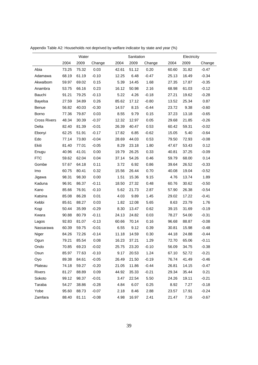|                     | Water |       |         |       | Sanitation |         |       | Electricity |         |
|---------------------|-------|-------|---------|-------|------------|---------|-------|-------------|---------|
|                     | 2004  | 2009  | Change  | 2004  | 2009       | Change  | 2004  | 2009        | Change  |
| Abia                | 73.25 | 75.32 | 0.03    | 42.61 | 51.12      | 0.20    | 60.60 | 31.82       | $-0.47$ |
| Adamawa             | 68.19 | 61.19 | $-0.10$ | 12.25 | 6.48       | $-0.47$ | 25.13 | 16.49       | $-0.34$ |
| Akwalbom            | 59.97 | 69.02 | 0.15    | 5.39  | 14.45      | 1.68    | 27.35 | 17.87       | $-0.35$ |
| Anambra             | 53.75 | 66.16 | 0.23    | 16.12 | 50.98      | 2.16    | 68.98 | 61.03       | $-0.12$ |
| Bauchi              | 91.21 | 79.25 | $-0.13$ | 5.22  | 4.26       | $-0.18$ | 27.21 | 19.62       | $-0.28$ |
| Bayelsa             | 27.59 | 34.89 | 0.26    | 85.62 | 17.12      | $-0.80$ | 13.52 | 25.34       | 0.87    |
| <b>Benue</b>        | 56.82 | 40.03 | $-0.30$ | 14.57 | 8.15       | $-0.44$ | 23.72 | 9.38        | $-0.60$ |
| Borno               | 77.36 | 79.87 | 0.03    | 8.55  | 9.79       | 0.15    | 37.23 | 13.18       | $-0.65$ |
| <b>Cross Rivers</b> | 48.34 | 30.39 | $-0.37$ | 12.32 | 12.97      | 0.05    | 29.68 | 21.85       | $-0.26$ |
| Delta               | 82.40 | 81.39 | $-0.01$ | 26.39 | 40.47      | 0.53    | 60.42 | 59.31       | $-0.02$ |
| Ebonyi              | 62.25 | 51.91 | $-0.17$ | 17.82 | 6.85       | $-0.62$ | 15.05 | 5.40        | $-0.64$ |
| Edo                 | 77.14 | 73.80 | $-0.04$ | 28.69 | 44.03      | 0.53    | 79.50 | 72.93       | $-0.08$ |
| Ekiti               | 81.40 | 77.01 | $-0.05$ | 8.29  | 23.18      | 1.80    | 47.67 | 53.43       | 0.12    |
| Enugu               | 40.96 | 41.01 | 0.00    | 19.79 | 26.25      | 0.33    | 40.81 | 37.25       | $-0.09$ |
| <b>FTC</b>          | 59.62 | 62.04 | 0.04    | 37.14 | 54.26      | 0.46    | 59.79 | 68.00       | 0.14    |
| Gombe               | 57.67 | 64.18 | 0.11    | 3.72  | 6.92       | 0.86    | 39.64 | 26.52       | $-0.33$ |
| Imo                 | 60.75 | 80.41 | 0.32    | 15.56 | 26.44      | 0.70    | 40.08 | 19.04       | $-0.52$ |
| Jigawa              | 98.31 | 98.30 | 0.00    | 1.51  | 15.36      | 9.15    | 4.76  | 13.74       | 1.89    |
| Kaduna              | 96.91 | 86.37 | $-0.11$ | 18.50 | 27.32      | 0.48    | 60.76 | 30.62       | $-0.50$ |
| Kano                | 85.66 | 76.91 | $-0.10$ | 5.62  | 21.73      | 2.87    | 57.90 | 26.38       | $-0.54$ |
| Katsina             | 85.08 | 86.28 | 0.01    | 4.03  | 9.89       | 1.45    | 29.02 | 17.22       | $-0.41$ |
| Kebbi               | 85.61 | 88.27 | 0.03    | 1.82  | 12.08      | 5.65    | 8.63  | 23.79       | 1.76    |
| Kogi                | 50.44 | 35.99 | $-0.29$ | 8.30  | 13.47      | 0.62    | 39.15 | 31.69       | $-0.19$ |
| Kwara               | 90.88 | 80.79 | $-0.11$ | 24.13 | 24.82      | 0.03    | 78.27 | 54.00       | $-0.31$ |
| Lagos               | 92.83 | 81.07 | $-0.13$ | 60.66 | 70.14      | 0.16    | 96.68 | 88.87       | $-0.08$ |
| Nassarawa           | 60.39 | 59.75 | $-0.01$ | 6.55  | 9.12       | 0.39    | 30.81 | 15.98       | $-0.48$ |
| Niger               | 84.26 | 72.26 | $-0.14$ | 11.18 | 14.59      | 0.30    | 44.18 | 24.88       | $-0.44$ |
| Ogun                | 79.21 | 85.54 | 0.08    | 16.23 | 37.21      | 1.29    | 72.70 | 65.06       | $-0.11$ |
| Ondo                | 70.85 | 69.23 | $-0.02$ | 25.75 | 23.20      | $-0.10$ | 56.09 | 34.75       | $-0.38$ |
| Osun                | 85.97 | 77.63 | $-0.10$ | 9.17  | 20.53      | 1.24    | 67.10 | 52.72       | $-0.21$ |
| Oyo                 | 89.38 | 84.61 | $-0.05$ | 26.49 | 21.50      | $-0.19$ | 76.74 | 41.49       | $-0.46$ |
| Plateau             | 74.18 | 59.27 | $-0.20$ | 21.05 | 11.86      | $-0.44$ | 26.81 | 14.15       | $-0.47$ |
| Rivers              | 81.27 | 88.89 | 0.09    | 44.92 | 35.33      | $-0.21$ | 29.34 | 35.44       | 0.21    |
| Sokoto              | 99.12 | 98.37 | $-0.01$ | 3.47  | 22.54      | 5.50    | 24.26 | 19.11       | $-0.21$ |
| Taraba              | 54.27 | 38.86 | $-0.28$ | 4.84  | 6.07       | 0.25    | 8.92  | 7.27        | $-0.18$ |
| Yobe                | 95.60 | 88.73 | $-0.07$ | 2.18  | 8.46       | 2.88    | 23.57 | 17.91       | $-0.24$ |
| Zamfara             | 88.40 | 81.11 | $-0.08$ | 4.98  | 16.97      | 2.41    | 21.47 | 7.16        | $-0.67$ |

Appendix Table A2: Households not deprived by welfare indicator by state and year (%)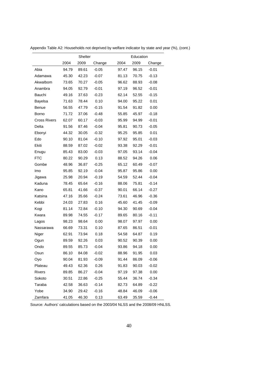|                     |       | Shelter |         |       | Education |         |
|---------------------|-------|---------|---------|-------|-----------|---------|
|                     | 2004  | 2009    | Change  | 2004  | 2009      | Change  |
| Abia                | 94.79 | 89.61   | $-0.05$ | 97.47 | 96.15     | $-0.01$ |
| Adamawa             | 45.30 | 42.23   | $-0.07$ | 81.13 | 70.75     | $-0.13$ |
| Akwalbom            | 73.65 | 70.27   | $-0.05$ | 96.62 | 88.93     | $-0.08$ |
| Anambra             | 94.05 | 92.79   | $-0.01$ | 97.19 | 96.52     | $-0.01$ |
| Bauchi              | 49.16 | 37.63   | $-0.23$ | 62.14 | 52.55     | $-0.15$ |
| Bayelsa             | 71.63 | 78.44   | 0.10    | 94.00 | 95.22     | 0.01    |
| <b>Benue</b>        | 56.55 | 47.79   | $-0.15$ | 91.54 | 91.82     | 0.00    |
| Borno               | 71.72 | 37.06   | $-0.48$ | 55.85 | 45.97     | $-0.18$ |
| <b>Cross Rivers</b> | 62.07 | 60.17   | $-0.03$ | 95.99 | 94.99     | $-0.01$ |
| Delta               | 91.56 | 87.46   | $-0.04$ | 95.81 | 90.73     | $-0.05$ |
| Ebonyi              | 44.32 | 30.05   | $-0.32$ | 95.25 | 95.85     | 0.01    |
| Edo                 | 90.10 | 81.04   | $-0.10$ | 97.92 | 95.01     | $-0.03$ |
| Ekiti               | 88.59 | 87.02   | $-0.02$ | 93.38 | 92.29     | $-0.01$ |
| Enugu               | 85.43 | 83.00   | $-0.03$ | 97.05 | 93.14     | $-0.04$ |
| <b>FTC</b>          | 80.22 | 90.29   | 0.13    | 88.52 | 94.26     | 0.06    |
| Gombe               | 48.96 | 36.87   | $-0.25$ | 65.12 | 60.49     | $-0.07$ |
| Imo                 | 95.85 | 92.19   | $-0.04$ | 95.87 | 95.86     | 0.00    |
| Jigawa              | 25.98 | 20.94   | $-0.19$ | 54.59 | 52.44     | $-0.04$ |
| Kaduna              | 78.45 | 65.64   | $-0.16$ | 88.06 | 75.81     | $-0.14$ |
| Kano                | 65.81 | 41.66   | $-0.37$ | 90.01 | 66.14     | $-0.27$ |
| Katsina             | 47.16 | 35.66   | $-0.24$ | 73.61 | 46.96     | $-0.36$ |
| Kebbi               | 24.03 | 27.83   | 0.16    | 45.60 | 41.45     | $-0.09$ |
| Kogi                | 81.14 | 72.84   | $-0.10$ | 94.30 | 90.69     | $-0.04$ |
| Kwara               | 89.98 | 74.55   | $-0.17$ | 89.65 | 80.16     | $-0.11$ |
| Lagos               | 98.23 | 98.64   | 0.00    | 98.07 | 97.97     | 0.00    |
| Nassarawa           | 66.69 | 73.31   | 0.10    | 87.65 | 86.51     | $-0.01$ |
| Niger               | 62.91 | 73.94   | 0.18    | 54.58 | 64.87     | 0.19    |
| Ogun                | 89.59 | 92.26   | 0.03    | 90.52 | 90.39     | 0.00    |
| Ondo                | 89.55 | 85.73   | $-0.04$ | 93.86 | 94.18     | 0.00    |
| Osun                | 86.10 | 84.08   | $-0.02$ | 88.96 | 91.95     | 0.03    |
| Oyo                 | 90.04 | 81.93   | $-0.09$ | 91.44 | 86.09     | $-0.06$ |
| Plateau             | 49.43 | 62.36   | 0.26    | 91.83 | 90.03     | $-0.02$ |
| <b>Rivers</b>       | 89.85 | 86.27   | $-0.04$ | 97.19 | 97.38     | 0.00    |
| Sokoto              | 30.51 | 22.86   | $-0.25$ | 55.44 | 36.74     | $-0.34$ |
| Taraba              | 42.58 | 36.63   | $-0.14$ | 82.73 | 64.89     | $-0.22$ |
| Yobe                | 34.90 | 29.42   | $-0.16$ | 48.84 | 46.09     | $-0.06$ |
| Zamfara             | 41.05 | 46.30   | 0.13    | 63.49 | 35.59     | $-0.44$ |

Appendix Table A2: Households not deprived by welfare indicator by state and year (%), (cont.)

Source: Authors' calculations based on the 2003/04 NLSS and the 2008/09 HNLSS.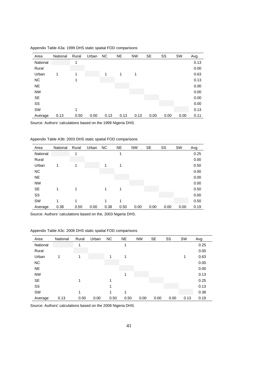| Area      | National | Rural | Urban | <b>NC</b> | <b>NE</b> | <b>NW</b> | <b>SE</b> | SS   | SW   | Avg. |
|-----------|----------|-------|-------|-----------|-----------|-----------|-----------|------|------|------|
| National  |          | 1     |       |           |           |           |           |      |      | 0.13 |
| Rural     |          |       |       |           |           |           |           |      |      | 0.00 |
| Urban     | 1        | 1     |       | 1         | 1         | 1         |           |      |      | 0.63 |
| <b>NC</b> |          | 1     |       |           |           |           |           |      |      | 0.13 |
| <b>NE</b> |          |       |       |           |           |           |           |      |      | 0.00 |
| <b>NW</b> |          |       |       |           |           |           |           |      |      | 0.00 |
| <b>SE</b> |          |       |       |           |           |           |           |      |      | 0.00 |
| SS        |          |       |       |           |           |           |           |      |      | 0.00 |
| SW        |          | 1     |       |           |           |           |           |      |      | 0.13 |
| Average   | 0.13     | 0.50  | 0.00  | 0.13      | 0.13      | 0.13      | 0.00      | 0.00 | 0.00 | 0.11 |

Appendix Table A3a: 1999 DHS static spatial FOD comparisons

Source: Authors' calculations based on the 1999 Nigeria DHS.

| Appendix Table A3b: 2003 DHS static spatial FOD comparisons |  |  |
|-------------------------------------------------------------|--|--|
|-------------------------------------------------------------|--|--|

| Area      | National | Rural | Urban | <b>NC</b> | <b>NE</b> | <b>NW</b> | <b>SE</b> | SS   | <b>SW</b> | Avg. |
|-----------|----------|-------|-------|-----------|-----------|-----------|-----------|------|-----------|------|
| National  |          | 1     |       |           | 1         |           |           |      |           | 0.25 |
| Rural     |          |       |       |           |           |           |           |      |           | 0.00 |
| Urban     | 1        | 1     |       | 1         | 1         |           |           |      |           | 0.50 |
| <b>NC</b> |          |       |       |           |           |           |           |      |           | 0.00 |
| <b>NE</b> |          |       |       |           |           |           |           |      |           | 0.00 |
| <b>NW</b> |          |       |       |           |           |           |           |      |           | 0.00 |
| <b>SE</b> | 1        | 1     |       | 1         | 1         |           |           |      |           | 0.50 |
| SS        |          |       |       |           |           |           |           |      |           | 0.00 |
| SW        | 1        | 1     |       | 1         | 1         |           |           |      |           | 0.50 |
| Average   | 0.38     | 0.50  | 0.00  | 0.38      | 0.50      | 0.00      | 0.00      | 0.00 | 0.00      | 0.19 |

Source: Authors' calculations based on the, 2003 Nigeria DHS.

| Appendix Table A3c: 2008 DHS static spatial FOD comparisons |  |  |
|-------------------------------------------------------------|--|--|
|-------------------------------------------------------------|--|--|

| Area      | National | Rural | Urban | <b>NC</b> | <b>NE</b> | <b>NW</b> | <b>SE</b> | SS   | <b>SW</b> | Avg. |
|-----------|----------|-------|-------|-----------|-----------|-----------|-----------|------|-----------|------|
| National  |          | 1     |       |           | 1         |           |           |      |           | 0.25 |
| Rural     |          |       |       |           |           |           |           |      |           | 0.00 |
| Urban     |          | 1     |       | 1         | 1         |           |           |      | 1         | 0.63 |
| <b>NC</b> |          |       |       |           |           |           |           |      |           | 0.00 |
| <b>NE</b> |          |       |       |           |           |           |           |      |           | 0.00 |
| <b>NW</b> |          |       |       |           | 1         |           |           |      |           | 0.13 |
| <b>SE</b> |          | 1     |       | 1         |           |           |           |      |           | 0.25 |
| SS        |          |       |       | 1         |           |           |           |      |           | 0.13 |
| SW        |          | 4     |       | 1         | 1         |           |           |      |           | 0.38 |
| Average   | 0.13     | 0.50  | 0.00  | 0.50      | 0.50      | 0.00      | 0.00      | 0.00 | 0.13      | 0.19 |

Source: Authors' calculations based on the 2008 Nigeria DHS.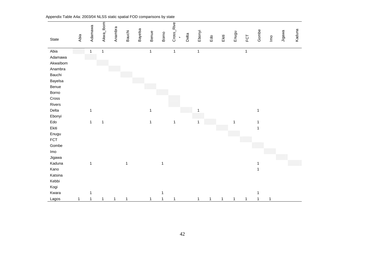| State                         | Abia        | Adamawa      | Akwa_lbom    | Anambra      | <b>Bauchi</b> | Bayelsa | Benue        | Borno        | Cross_Rive<br>$\mathbf{r}$ | Delta | Ebonyi       | Edo          | Ekiti        | Enugu        | FCT          | Gombe        | $\mathsf{I}^\mathsf{o}$ | Jigawa | Kaduna |
|-------------------------------|-------------|--------------|--------------|--------------|---------------|---------|--------------|--------------|----------------------------|-------|--------------|--------------|--------------|--------------|--------------|--------------|-------------------------|--------|--------|
| Abia                          |             | $\mathbf{1}$ | $\mathbf{1}$ |              |               |         | $\mathbf{1}$ |              | $\mathbf{1}$               |       | $\mathbf{1}$ |              |              |              | $\mathbf 1$  |              |                         |        |        |
| Adamawa<br>Akwalbom           |             |              |              |              |               |         |              |              |                            |       |              |              |              |              |              |              |                         |        |        |
| Anambra                       |             |              |              |              |               |         |              |              |                            |       |              |              |              |              |              |              |                         |        |        |
| Bauchi                        |             |              |              |              |               |         |              |              |                            |       |              |              |              |              |              |              |                         |        |        |
| Bayelsa                       |             |              |              |              |               |         |              |              |                            |       |              |              |              |              |              |              |                         |        |        |
| Benue<br>Borno                |             |              |              |              |               |         |              |              |                            |       |              |              |              |              |              |              |                         |        |        |
| Cross                         |             |              |              |              |               |         |              |              |                            |       |              |              |              |              |              |              |                         |        |        |
| Rivers                        |             |              |              |              |               |         |              |              |                            |       |              |              |              |              |              |              |                         |        |        |
| Delta                         |             | $\mathbf{1}$ |              |              |               |         | 1            |              |                            |       |              |              |              |              |              | $\mathbf{1}$ |                         |        |        |
| Ebonyi                        |             |              |              |              |               |         |              |              |                            |       |              |              |              |              |              |              |                         |        |        |
| $\operatorname{\mathsf{Edo}}$ |             | $\mathbf{1}$ | $\mathbf{1}$ |              |               |         | $\mathbf{1}$ |              | $\mathbf{1}$               |       | 1            |              |              | $\mathbf{1}$ |              | 1            |                         |        |        |
| Ekiti                         |             |              |              |              |               |         |              |              |                            |       |              |              |              |              |              | $\mathbf{1}$ |                         |        |        |
| Enugu<br>FCT                  |             |              |              |              |               |         |              |              |                            |       |              |              |              |              |              |              |                         |        |        |
| Gombe                         |             |              |              |              |               |         |              |              |                            |       |              |              |              |              |              |              |                         |        |        |
| Imo                           |             |              |              |              |               |         |              |              |                            |       |              |              |              |              |              |              |                         |        |        |
| Jigawa                        |             |              |              |              |               |         |              |              |                            |       |              |              |              |              |              |              |                         |        |        |
| Kaduna                        |             | $\mathbf{1}$ |              |              | $\mathbf{1}$  |         |              | $\mathbf{1}$ |                            |       |              |              |              |              |              | $\mathbf 1$  |                         |        |        |
| Kano                          |             |              |              |              |               |         |              |              |                            |       |              |              |              |              |              | $\mathbf 1$  |                         |        |        |
| Katsina                       |             |              |              |              |               |         |              |              |                            |       |              |              |              |              |              |              |                         |        |        |
| Kebbi                         |             |              |              |              |               |         |              |              |                            |       |              |              |              |              |              |              |                         |        |        |
| Kogi                          |             |              |              |              |               |         |              |              |                            |       |              |              |              |              |              |              |                         |        |        |
| Kwara                         |             | 1            |              |              |               |         |              | 1            |                            |       |              |              |              |              |              | 1            |                         |        |        |
| Lagos                         | $\mathbf 1$ | $\mathbf{1}$ | $\mathbf{1}$ | $\mathbf{1}$ | $\mathbf{1}$  |         | $\mathbf{1}$ | $\mathbf{1}$ | 1                          |       | $\mathbf{1}$ | $\mathbf{1}$ | $\mathbf{1}$ | $\mathbf{1}$ | $\mathbf{1}$ | $\mathbf{1}$ | $\mathbf{1}$            |        |        |

Appendix Table A4a: 2003/04 NLSS static spatial FOD comparisons by state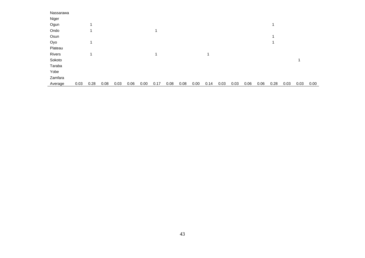| Nassarawa |      |      |      |      |      |      |      |      |      |      |      |      |      |      |      |      |      |      |      |
|-----------|------|------|------|------|------|------|------|------|------|------|------|------|------|------|------|------|------|------|------|
| Niger     |      |      |      |      |      |      |      |      |      |      |      |      |      |      |      |      |      |      |      |
| Ogun      |      |      |      |      |      |      |      |      |      |      |      |      |      |      |      |      |      |      |      |
| Ondo      |      |      |      |      |      |      | 1    |      |      |      |      |      |      |      |      |      |      |      |      |
| Osun      |      |      |      |      |      |      |      |      |      |      |      |      |      |      |      |      |      |      |      |
| Oyo       |      |      |      |      |      |      |      |      |      |      |      |      |      |      |      |      |      |      |      |
| Plateau   |      |      |      |      |      |      |      |      |      |      |      |      |      |      |      |      |      |      |      |
| Rivers    |      |      |      |      |      |      | 1    |      |      |      | 1    |      |      |      |      |      |      |      |      |
| Sokoto    |      |      |      |      |      |      |      |      |      |      |      |      |      |      |      |      |      |      |      |
| Taraba    |      |      |      |      |      |      |      |      |      |      |      |      |      |      |      |      |      |      |      |
| Yobe      |      |      |      |      |      |      |      |      |      |      |      |      |      |      |      |      |      |      |      |
| Zamfara   |      |      |      |      |      |      |      |      |      |      |      |      |      |      |      |      |      |      |      |
| Average   | 0.03 | 0.28 | 0.08 | 0.03 | 0.06 | 0.00 | 0.17 | 0.08 | 0.08 | 0.00 | 0.14 | 0.03 | 0.03 | 0.06 | 0.06 | 0.28 | 0.03 | 0.03 | 0.00 |
|           |      |      |      |      |      |      |      |      |      |      |      |      |      |      |      |      |      |      |      |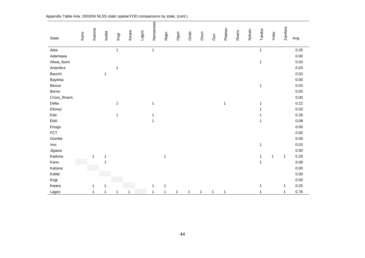| State        | Kano | Katsina      | Kebbi        | Kogi         | Kwara        | Lagos | Nassarawa    | Niger        | Ogun         | Ondo | Osun         | Oyo          | Plateau     | Rivers | Sokoto | Taraba       | Yobe         | <b>Zamfara</b> | Avg.     |
|--------------|------|--------------|--------------|--------------|--------------|-------|--------------|--------------|--------------|------|--------------|--------------|-------------|--------|--------|--------------|--------------|----------------|----------|
|              |      |              |              |              |              |       |              |              |              |      |              |              |             |        |        |              |              |                |          |
| Abia         |      |              |              | $\mathbf{1}$ |              |       | $\mathbf{1}$ |              |              |      |              |              |             |        |        | $\mathbf{1}$ |              |                | 0.25     |
| Adamawa      |      |              |              |              |              |       |              |              |              |      |              |              |             |        |        |              |              |                | $0.00\,$ |
| Akwa_Ibom    |      |              |              |              |              |       |              |              |              |      |              |              |             |        |        | $\mathbf{1}$ |              |                | 0.03     |
| Anambra      |      |              |              | 1            |              |       |              |              |              |      |              |              |             |        |        |              |              |                | 0.03     |
| Bauchi       |      |              | $\mathbf{1}$ |              |              |       |              |              |              |      |              |              |             |        |        |              |              |                | 0.03     |
| Bayelsa      |      |              |              |              |              |       |              |              |              |      |              |              |             |        |        |              |              |                | 0.00     |
| Benue        |      |              |              |              |              |       |              |              |              |      |              |              |             |        |        | $\mathbf{1}$ |              |                | 0.03     |
| Borno        |      |              |              |              |              |       |              |              |              |      |              |              |             |        |        |              |              |                | 0.00     |
| Cross_Rivers |      |              |              |              |              |       |              |              |              |      |              |              |             |        |        |              |              |                | 0.00     |
| Delta        |      |              |              | 1            |              |       | 1            |              |              |      |              |              | $\mathbf 1$ |        |        | 1            |              |                | 0.22     |
| Ebonyi       |      |              |              |              |              |       |              |              |              |      |              |              |             |        |        | 1            |              |                | 0.03     |
| Edo          |      |              |              | 1            |              |       | 1            |              |              |      |              |              |             |        |        |              |              |                | 0.28     |
| Ekiti        |      |              |              |              |              |       | 1            |              |              |      |              |              |             |        |        | 1            |              |                | 0.08     |
| Enugu        |      |              |              |              |              |       |              |              |              |      |              |              |             |        |        |              |              |                | 0.00     |
| <b>FCT</b>   |      |              |              |              |              |       |              |              |              |      |              |              |             |        |        |              |              |                | 0.00     |
| Gombe        |      |              |              |              |              |       |              |              |              |      |              |              |             |        |        |              |              |                | 0.00     |
| Imo          |      |              |              |              |              |       |              |              |              |      |              |              |             |        |        | 1            |              |                | 0.03     |
| Jigawa       |      |              |              |              |              |       |              |              |              |      |              |              |             |        |        |              |              |                | 0.00     |
| Kaduna       |      | 1            | $\mathbf{1}$ |              |              |       |              | $\mathbf{1}$ |              |      |              |              |             |        |        | $\mathbf{1}$ | $\mathbf{1}$ | 1              | 0.28     |
| Kano         |      |              |              |              |              |       |              |              |              |      |              |              |             |        |        | $\mathbf{1}$ |              |                | 0.08     |
| Katsina      |      |              |              |              |              |       |              |              |              |      |              |              |             |        |        |              |              |                | 0.00     |
| Kebbi        |      |              |              |              |              |       |              |              |              |      |              |              |             |        |        |              |              |                | 0.00     |
| Kogi         |      |              |              |              |              |       |              |              |              |      |              |              |             |        |        |              |              |                | 0.00     |
| Kwara        |      | $\mathbf 1$  | 1            |              |              |       | 1            | 1            |              |      |              |              |             |        |        | 1            |              | 1              | 0.25     |
| Lagos        |      | $\mathbf{1}$ | 1            | 1            | $\mathbf{1}$ |       | $\mathbf{1}$ | 1            | $\mathbf{1}$ | 1    | $\mathbf{1}$ | $\mathbf{1}$ | 1           |        |        | 1            |              | 1              | 0.78     |

Appendix Table A4a: 2003/04 NLSS static spatial FOD comparisons by state, (cont.)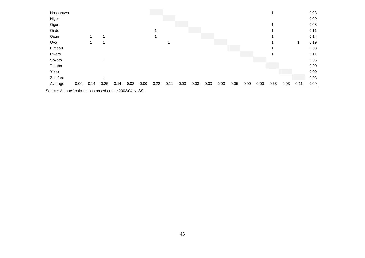| Taraba            |  |  |  |  |  |  |  |  |  | 0.00         |
|-------------------|--|--|--|--|--|--|--|--|--|--------------|
| Sokoto            |  |  |  |  |  |  |  |  |  | 0.11<br>0.06 |
| Plateau<br>Rivers |  |  |  |  |  |  |  |  |  | 0.03         |
| Oyo               |  |  |  |  |  |  |  |  |  | 0.19         |
| Osun              |  |  |  |  |  |  |  |  |  | 0.14         |
| Ondo              |  |  |  |  |  |  |  |  |  | 0.11         |
| Ogun              |  |  |  |  |  |  |  |  |  | 0.08         |
| Niger             |  |  |  |  |  |  |  |  |  | 0.00         |
| Nassarawa         |  |  |  |  |  |  |  |  |  | 0.03         |

Source: Authors' calculations based on the 2003/04 NLSS.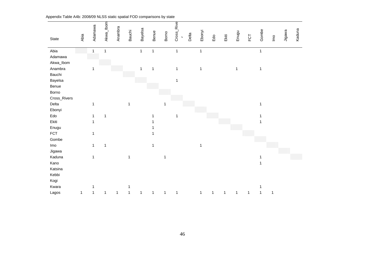| State               | Abia         | Adamawa      | Akwa_lbom    | Anambra     | <b>Bauchi</b> | Bayelsa      | Benue        | Borno        | Rive<br>Cross_<br>$\mathbf{r}$ | Delta | Ebonyi       | Edo         | Ekiti        | Enugu        | FCT | Gombe        | $\underline{\mathsf{P}}$ | Jigawa | Kaduna |
|---------------------|--------------|--------------|--------------|-------------|---------------|--------------|--------------|--------------|--------------------------------|-------|--------------|-------------|--------------|--------------|-----|--------------|--------------------------|--------|--------|
| Abia                |              | $\mathbf{1}$ | $\mathbf{1}$ |             |               | $\mathbf{1}$ | $\mathbf{1}$ |              | $\mathbf{1}$                   |       | $\mathbf{1}$ |             |              |              |     | $\mathbf{1}$ |                          |        |        |
| Adamawa             |              |              |              |             |               |              |              |              |                                |       |              |             |              |              |     |              |                          |        |        |
| Akwa_Ibom           |              |              |              |             |               |              |              |              |                                |       |              |             |              |              |     |              |                          |        |        |
| Anambra             |              | $\mathbf{1}$ |              |             |               | 1            | $\mathbf{1}$ |              | $\mathbf{1}$                   |       | 1            |             |              | $\mathbf{1}$ |     | 1            |                          |        |        |
| Bauchi              |              |              |              |             |               |              |              |              |                                |       |              |             |              |              |     |              |                          |        |        |
| Bayelsa             |              |              |              |             |               |              |              |              | $\mathbf{1}$                   |       |              |             |              |              |     |              |                          |        |        |
| Benue               |              |              |              |             |               |              |              |              |                                |       |              |             |              |              |     |              |                          |        |        |
| Borno               |              |              |              |             |               |              |              |              |                                |       |              |             |              |              |     |              |                          |        |        |
| Cross_Rivers        |              |              |              |             |               |              |              |              |                                |       |              |             |              |              |     |              |                          |        |        |
| Delta               |              | $\mathbf{1}$ |              |             | 1             |              |              | $\mathbf{1}$ |                                |       |              |             |              |              |     | 1            |                          |        |        |
| Ebonyi              |              |              |              |             |               |              |              |              |                                |       |              |             |              |              |     |              |                          |        |        |
| Edo                 |              | 1            | $\mathbf{1}$ |             |               |              |              |              | 1                              |       |              |             |              |              |     |              |                          |        |        |
| Ekiti               |              | 1            |              |             |               |              |              |              |                                |       |              |             |              |              |     |              |                          |        |        |
| Enugu<br><b>FCT</b> |              |              |              |             |               |              |              |              |                                |       |              |             |              |              |     |              |                          |        |        |
| Gombe               |              | $\mathbf{1}$ |              |             |               |              |              |              |                                |       |              |             |              |              |     |              |                          |        |        |
| Imo                 |              | $\mathbf{1}$ | 1            |             |               |              | 1            |              |                                |       | $\mathbf{1}$ |             |              |              |     |              |                          |        |        |
| Jigawa              |              |              |              |             |               |              |              |              |                                |       |              |             |              |              |     |              |                          |        |        |
| Kaduna              |              | $\mathbf{1}$ |              |             | 1             |              |              | 1            |                                |       |              |             |              |              |     |              |                          |        |        |
| Kano                |              |              |              |             |               |              |              |              |                                |       |              |             |              |              |     | 1            |                          |        |        |
| Katsina             |              |              |              |             |               |              |              |              |                                |       |              |             |              |              |     |              |                          |        |        |
| Kebbi               |              |              |              |             |               |              |              |              |                                |       |              |             |              |              |     |              |                          |        |        |
| Kogi                |              |              |              |             |               |              |              |              |                                |       |              |             |              |              |     |              |                          |        |        |
| Kwara               |              | 1            |              |             |               |              |              |              |                                |       |              |             |              |              |     | 1            |                          |        |        |
| Lagos               | $\mathbf{1}$ | 1            | $\mathbf{1}$ | $\mathbf 1$ | 1             | $\mathbf{1}$ | $\mathbf{1}$ | $\mathbf 1$  | 1                              |       | $\mathbf{1}$ | $\mathbf 1$ | $\mathbf{1}$ | 1            | 1   | 1            | 1                        |        |        |

Appendix Table A4b: 2008/09 NLSS static spatial FOD comparisons by state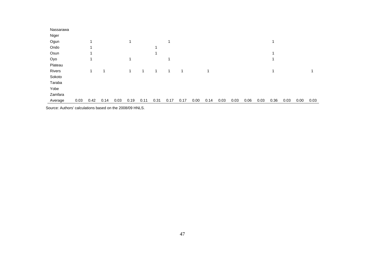| 0.03 |
|------|
|      |

Source: Authors' calculations based on the 2008/09 HNLS.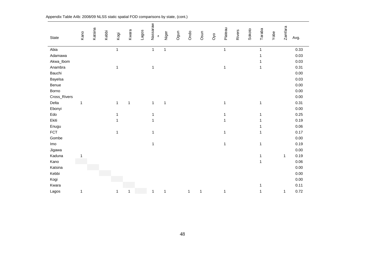| State        | Kano         | Katsina | Kebbi | Kogi         | Kwara        | Lagos | Nassaraw<br>$\mathfrak{a}$ | Niger        | Ogun | Ondo         | Osun         | O <sub>v</sub> o | Plateau      | Rivers | Sokoto | Taraba       | Yobe | Zamfara      | Avg. |
|--------------|--------------|---------|-------|--------------|--------------|-------|----------------------------|--------------|------|--------------|--------------|------------------|--------------|--------|--------|--------------|------|--------------|------|
| Abia         |              |         |       | $\mathbf{1}$ |              |       | $\mathbf{1}$               | $\mathbf{1}$ |      |              |              |                  | $\mathbf{1}$ |        |        | $\mathbf{1}$ |      |              | 0.33 |
| Adamawa      |              |         |       |              |              |       |                            |              |      |              |              |                  |              |        |        | 1            |      |              | 0.03 |
| Akwa_lbom    |              |         |       |              |              |       |                            |              |      |              |              |                  |              |        |        |              |      |              | 0.03 |
| Anambra      |              |         |       | 1            |              |       | 1                          |              |      |              |              |                  | $\mathbf 1$  |        |        | 1            |      |              | 0.31 |
| Bauchi       |              |         |       |              |              |       |                            |              |      |              |              |                  |              |        |        |              |      |              | 0.00 |
| Bayelsa      |              |         |       |              |              |       |                            |              |      |              |              |                  |              |        |        |              |      |              | 0.03 |
| Benue        |              |         |       |              |              |       |                            |              |      |              |              |                  |              |        |        |              |      |              | 0.00 |
| Borno        |              |         |       |              |              |       |                            |              |      |              |              |                  |              |        |        |              |      |              | 0.00 |
| Cross_Rivers |              |         |       |              |              |       |                            |              |      |              |              |                  |              |        |        |              |      |              | 0.00 |
| Delta        | $\mathbf{1}$ |         |       | $\mathbf{1}$ | $\mathbf{1}$ |       | $\mathbf{1}$               | $\mathbf{1}$ |      |              |              |                  | $\mathbf 1$  |        |        | $\mathbf{1}$ |      |              | 0.31 |
| Ebonyi       |              |         |       |              |              |       |                            |              |      |              |              |                  |              |        |        |              |      |              | 0.00 |
| Edo          |              |         |       | $\mathbf{1}$ |              |       | 1                          |              |      |              |              |                  | 1            |        |        | 1            |      |              | 0.25 |
| Ekiti        |              |         |       | 1            |              |       | 1                          |              |      |              |              |                  | 1            |        |        | 1            |      |              | 0.19 |
| Enugu        |              |         |       |              |              |       |                            |              |      |              |              |                  |              |        |        |              |      |              | 0.06 |
| <b>FCT</b>   |              |         |       | 1            |              |       | 1                          |              |      |              |              |                  | 1            |        |        | 1            |      |              | 0.17 |
| Gombe        |              |         |       |              |              |       |                            |              |      |              |              |                  |              |        |        |              |      |              | 0.00 |
| Imo          |              |         |       |              |              |       | 1                          |              |      |              |              |                  | 1            |        |        | $\mathbf{1}$ |      |              | 0.19 |
| Jigawa       |              |         |       |              |              |       |                            |              |      |              |              |                  |              |        |        |              |      |              | 0.00 |
| Kaduna       | 1            |         |       |              |              |       |                            |              |      |              |              |                  |              |        |        | 1            |      | 1            | 0.19 |
| Kano         |              |         |       |              |              |       |                            |              |      |              |              |                  |              |        |        | $\mathbf{1}$ |      |              | 0.06 |
| Katsina      |              |         |       |              |              |       |                            |              |      |              |              |                  |              |        |        |              |      |              | 0.00 |
| Kebbi        |              |         |       |              |              |       |                            |              |      |              |              |                  |              |        |        |              |      |              | 0.00 |
| Kogi         |              |         |       |              |              |       |                            |              |      |              |              |                  |              |        |        |              |      |              | 0.00 |
| Kwara        |              |         |       |              |              |       |                            |              |      |              |              |                  |              |        |        | 1            |      |              | 0.11 |
| Lagos        | 1            |         |       | 1            | $\mathbf{1}$ |       | 1                          | $\mathbf{1}$ |      | $\mathbf{1}$ | $\mathbf{1}$ |                  | 1            |        |        | 1            |      | $\mathbf{1}$ | 0.72 |

Appendix Table A4b: 2008/09 NLSS static spatial FOD comparisons by state, (cont.)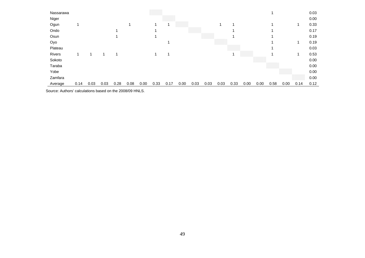| Niger                                                                                                                           |      |      |      | 0.00 |
|---------------------------------------------------------------------------------------------------------------------------------|------|------|------|------|
| Ogun                                                                                                                            |      |      |      | 0.33 |
| Ondo                                                                                                                            |      |      |      | 0.17 |
| Osun                                                                                                                            |      |      |      | 0.19 |
| Oyo                                                                                                                             |      |      |      | 0.19 |
| Plateau                                                                                                                         |      |      |      | 0.03 |
| Rivers<br>1<br>٠<br>-1                                                                                                          |      |      |      | 0.53 |
| Sokoto                                                                                                                          |      |      |      | 0.00 |
| Taraba                                                                                                                          |      |      |      | 0.00 |
| Yobe                                                                                                                            |      |      |      | 0.00 |
| Zamfara                                                                                                                         |      |      |      | 0.00 |
| 0.03<br>0.08<br>0.00<br>0.33<br>0.03<br>0.03<br>0.33<br>0.03<br>0.28<br>0.17<br>0.00<br>0.03<br>0.00<br>0.00<br>0.14<br>Average | 0.58 | 0.00 | 0.14 | 0.12 |

Source: Authors' calculations based on the 2008/09 HNLS.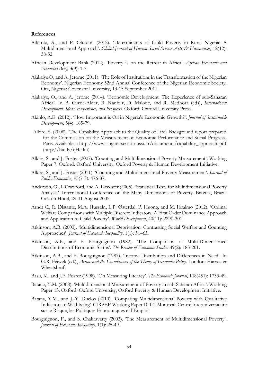#### **References**

- Adetola, A., and P. Olufemi (2012). 'Determinants of Child Poverty in Rural Nigeria: A Multidimensional Approach'. *Global Journal of Human Social Science Arts & Humanities*, 12(12): 38-52.
- African Development Bank (2012). 'Poverty is on the Retreat in Africa'. *African Economic and Financial Brief,* 3(9): 1-7.
- Ajakaiye O, and A. Jerome (2011). 'The Role of Institutions in the Transformation of the Nigerian Economy'. Nigerian Economy 52nd Annual Conference of the Nigerian Economic Society. Ota, Nigeria: Covenant University, 13-15 September 2011.
- Ajakaiye, O., and A. Jerome (2014). 'Economic Development: The Experience of sub-Saharan Africa'. In B. Currie-Alder, R. Kanbur, D. Malone, and R. Medhora (eds), *International Development: Ideas, Experience, and Prospects*. Oxford: Oxford University Press.
- Akinlo, A.E. (2012). 'How Important is Oil in Nigeria's Economic Growth?'. *Journal of Sustainable Development,* 5(4): 165-79.
- Alkire, S. (2008). 'The Capability Approach to the Quality of Life'. Background report prepared for the Commission on the Measurement of Economic Performance and Social Progress, Paris. Available at http://www. stiglitz-sen-fitoussi. fr/documents/capability\_approach. pdf (http://bit. ly/qHedut)
- Alkire, S., and J. Foster (2007). 'Counting and Multidimensional Poverty Measurement'. Working Paper 7. Oxford: Oxford University, Oxford Poverty & Human Development Initiative.
- Alkire, S., and J. Foster (2011). 'Counting and Multidimensional Poverty Measurement'. *Journal of Public Economics,* 95(7-8): 476-87.
- Anderson, G., I. Crawford, and A. Liecester (2005). 'Statistical Tests for Multidimensional Poverty Analysis'. International Conference on the Many Dimensions of Poverty. Brazilia, Brazil: Carlton Hotel, 29-31 August 2005.
- Arndt C., R. Distante, M.A. Hussain, L.P. Østerdal, P. Huong, and M. Ibraimo (2012). 'Ordinal Welfare Comparisons with Multiple Discrete Indicators: A First Order Dominance Approach and Application to Child Poverty'. *World Development*, 40(11): 2290-301.
- Atkinson, A.B. (2003). 'Multidimensional Deprivation: Contrasting Social Welfare and Counting Approaches'. *Journal of Economic Inequality*, 1(1): 51–65.
- Atkinson, A.B., and F. Bourguignon (1982). 'The Comparison of Multi-Dimensioned Distributions of Economic Status'. *The Review of Economic Studies* 49(2): 183-201.
- Atkinson, A.B., and F. Bourguignon (1987). 'Income Distribution and Differences in Need'. In G.R. Feiwek (ed.), *Arrow and the Foundations of the Theory of Economic Policy*. London: Harvester Wheatsheaf.
- Basu, K., and J.E. Foster (1998). 'On Measuring Literacy'. *The Economic Journal*, 108(451): 1733-49.
- Batana, Y.M. (2008). 'Multidimensional Measurement of Poverty in sub-Saharan Africa'. Working Paper 13. Oxford: Oxford University, Oxford Poverty & Human Development Initiative.
- Batana, Y.M., and J.-Y. Duclos (2010). 'Comparing Multidimensional Poverty with Qualitative Indicators of Well-being'. CIRPEE Working Paper 10-04. Montreal: Centre Interuniversitaire sur le Risque, les Politiques Economiques et l'Emploi.
- Bourguignon, F., and S. Chakravarty (2003). 'The Measurement of Multidimensional Poverty'. *Journal of Economic Inequality,* 1(1): 25-49.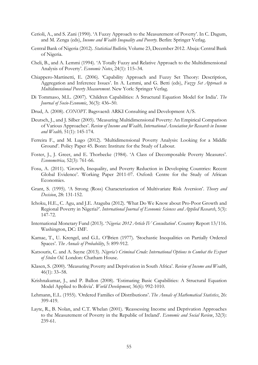- Cerioli, A., and S. Zani (1990). 'A Fuzzy Approach to the Measurement of Poverty'. In C. Dagum, and M. Zenga (eds), *Income and Wealth Inequality and Poverty.* Berlin: Springer Verlag.
- Central Bank of Nigeria (2012). *Statistical Bulletin,* Volume 23, December 2012. Abuja: Central Bank of Nigeria.
- Cheli, B., and A. Lemmi (1994). 'A Totally Fuzzy and Relative Approach to the Multidimensional Analysis of Poverty'. *Economic Notes*, 24(1): 115–34.
- Chiappero-Martinetti, E. (2006). 'Capability Approach and Fuzzy Set Theory: Description, Aggregation and Inference Issues'. In A. Lemmi, and G. Betti (eds), *Fuzzy Set Approach to Multidimensional Poverty Measurement*. New York: Springer Verlag.
- Di Tommaso, M.L. (2007). 'Children Capabilities: A Structural Equation Model for India'. *The Journal of Socio-Economic*, 36(3): 436–50.
- Drud, A. (2008). *CONOPT*. Bagsvaerd: ARKI Consulting and Development A/S.
- Deutsch, J., and J. Silber (2005). 'Measuring Multidimensional Poverty: An Empirical Comparison of Various Approaches'. *Review of Income and Wealth, International Association for Research in Income and Wealth,* 51(1): 145-174.
- Ferreira F., and M. Lugo (2012). 'Multidimensional Poverty Analysis: Looking for a Middle Ground'. Policy Paper 45. Bonn: Institute for the Study of Labour.
- Foster, J., J. Greer, and E. Thorbecke (1984). 'A Class of Decomposable Poverty Measures'. *Econometrica,* 52(3): 761-66.
- Fosu, A. (2011). 'Growth, Inequality, and Poverty Reduction in Developing Countries: Recent Global Evidence'. Working Paper 2011-07. Oxford: Centre for the Study of African Economies.
- Grant, S. (1995). 'A Strong (Ross) Characterization of Multivariate Risk Aversion'. *Theory and Decision*, 28: 131-152.
- Ichoku, H.E., C. Agu, and J.E. Ataguba (2012). 'What Do We Know about Pro-Poor Growth and Regional Poverty in Nigeria?'. *International Journal of Economic Sciences and Applied Research*, 5(3): 147-72.
- International Monetary Fund (2013). '*Nigeria: 2012 Article IV Consultation*'. Country Report 13/116. Washington, DC: IMF.
- Kamae, T., U. Krengel, and G.L. O'Brien (1977). 'Stochastic Inequalities on Partially Ordered Spaces'. *The Annals of Probability*, 5: 899-912.
- Katsouris, C. and A. Sayne (2013). *Nigeria's Criminal Crude: International Options to Combat the Export of Stolen Oil.* London: Chatham House.
- Klasen, S. (2000). 'Measuring Poverty and Deprivation in South Africa'. *Review of Income and Wealth*, 46(1): 33–58.
- Krishnakumar, J., and P. Ballon (2008). 'Estimating Basic Capabilities: A Structural Equation Model Applied to Bolivia'. *World Development*, 36(6): 992-1010.
- Lehmann, E.L. (1955). 'Ordered Families of Distributions'. *The Annals of Mathematical Statistics*, 26: 399-419.
- Layte, R., B. Nolan, and C.T. Whelan (2001). 'Reassessing Income and Deprivation Approaches to the Measurement of Poverty in the Republic of Ireland'. *Economic and Social Review*, 32(3): 239-61.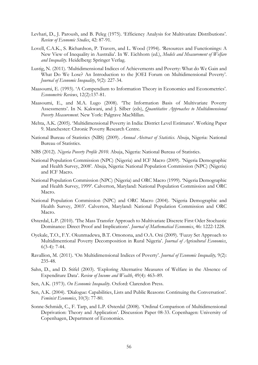- Levhari, D., J. Paroush, and B. Peleg (1975). 'Efficiency Analysis for Multivariate Distributions'. *Review of Economic Studies*, 42: 87-91.
- Lovell, C.A.K., S. Richardson, P. Travers, and L. Wood (1994). 'Resources and Functionings: A New View of Inequality in Australia'. In W. Eichhorn (ed.), *Models and Measurement of Welfare and Inequality*. Heidelberg: Springer Verlag.
- Lustig, N. (2011). 'Multidimensional Indices of Achievements and Poverty: What do We Gain and What Do We Lose? An Introduction to the JOEI Forum on Multidimensional Poverty'. *Journal of Economic Inequality*, 9(2): 227-34.
- Maasoumi, E. (1993). 'A Compendium to Information Theory in Economics and Econometrics'. *Econometric Reviews*, 12(2):137-81.
- Maasoumi, E., and M.A. Lugo (2008). 'The Information Basis of Multivariate Poverty Assessments'. In N. Kakwani, and J. Silber (eds), *Quantitative Approaches to Multidimensional Poverty Measurement*. New York: Palgrave MacMillan.
- Mehta, A.K. (2005). 'Multidimensional Poverty in India: District Level Estimates'. Working Paper 9. Manchester: Chronic Poverty Research Centre.
- National Bureau of Statistics (NBS) (2009). *Annual Abstract of Statistics*. Abuja, Nigeria: National Bureau of Statistics.
- NBS (2012). *Nigeria Poverty Profile 2010*. Abuja, Nigeria: National Bureau of Statistics.
- National Population Commission (NPC) (Nigeria) and ICF Macro (2009). 'Nigeria Demographic and Health Survey, 2008'. Abuja, Nigeria: National Population Commission (NPC) (Nigeria) and ICF Macro.
- National Population Commission (NPC) (Nigeria) and ORC Macro (1999). 'Nigeria Demographic and Health Survey, 1999'. Calverton, Maryland: National Population Commission and ORC Macro.
- National Population Commission (NPC) and ORC Macro (2004). 'Nigeria Demographic and Health Survey, 2003'. Calverton, Maryland: National Population Commission and ORC Macro.
- Østerdal, L.P. (2010). 'The Mass Transfer Approach to Multivariate Discrete First Oder Stochastic Dominance: Direct Proof and Implications'. *Journal of Mathematical Economics*, 46: 1222-1228.
- Oyekale, T.O., F.Y. Okunmadewa, B.T. Omonona, and O.A. Oni (2009). 'Fuzzy Set Approach to Multidimentional Poverty Decomposition in Rural Nigeria'. *Journal of Agricultural Economics*, 6(3-4): 7-44.
- Ravallion, M. (2011). 'On Multidimensional Indices of Poverty'. *Journal of Economic Inequality,* 9(2): 235-48.
- Sahn, D., and D. Stifel (2003). 'Exploring Alternative Measures of Welfare in the Absence of Expenditure Data'. *Review of Income and Wealth*, 49(4): 463–89.
- Sen, A.K. (1973). *On Economic Inequality*. Oxford: Clarendon Press.
- Sen, A.K. (2004). 'Dialogue: Capabilities, Lists and Public Reasons: Continuing the Conversation'. *Feminist Economics*, 10(3): 77-80.
- Sonne-Schmidt, C., F. Tarp, and L.P. Østerdal (2008). 'Ordinal Comparison of Multidimensional Deprivation: Theory and Application'. Discussion Paper 08-33. Copenhagen: University of Copenhagen, Department of Economics.